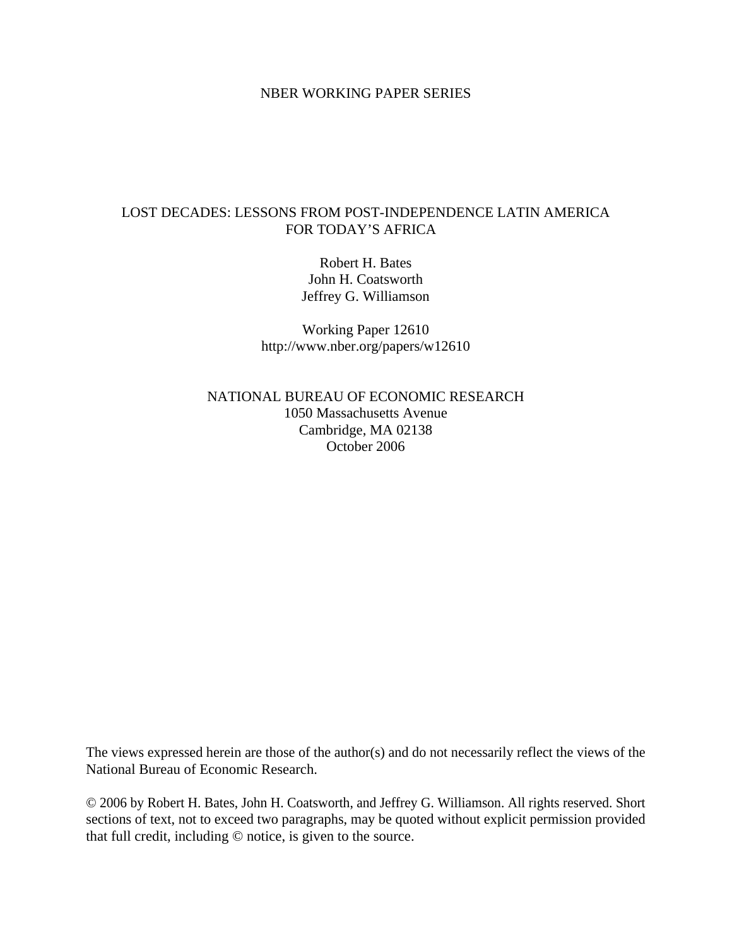## NBER WORKING PAPER SERIES

# LOST DECADES: LESSONS FROM POST-INDEPENDENCE LATIN AMERICA FOR TODAY'S AFRICA

Robert H. Bates John H. Coatsworth Jeffrey G. Williamson

Working Paper 12610 http://www.nber.org/papers/w12610

NATIONAL BUREAU OF ECONOMIC RESEARCH 1050 Massachusetts Avenue Cambridge, MA 02138 October 2006

The views expressed herein are those of the author(s) and do not necessarily reflect the views of the National Bureau of Economic Research.

© 2006 by Robert H. Bates, John H. Coatsworth, and Jeffrey G. Williamson. All rights reserved. Short sections of text, not to exceed two paragraphs, may be quoted without explicit permission provided that full credit, including © notice, is given to the source.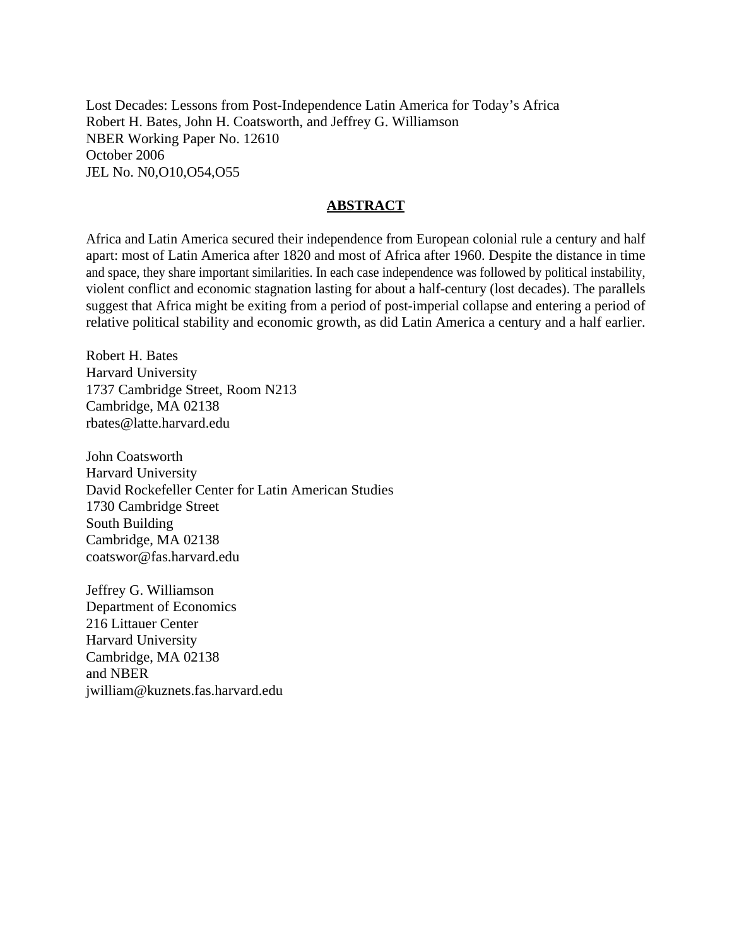Lost Decades: Lessons from Post-Independence Latin America for Today's Africa Robert H. Bates, John H. Coatsworth, and Jeffrey G. Williamson NBER Working Paper No. 12610 October 2006 JEL No. N0,O10,O54,O55

## **ABSTRACT**

Africa and Latin America secured their independence from European colonial rule a century and half apart: most of Latin America after 1820 and most of Africa after 1960. Despite the distance in time and space, they share important similarities. In each case independence was followed by political instability, violent conflict and economic stagnation lasting for about a half-century (lost decades). The parallels suggest that Africa might be exiting from a period of post-imperial collapse and entering a period of relative political stability and economic growth, as did Latin America a century and a half earlier.

Robert H. Bates Harvard University 1737 Cambridge Street, Room N213 Cambridge, MA 02138 rbates@latte.harvard.edu

John Coatsworth Harvard University David Rockefeller Center for Latin American Studies 1730 Cambridge Street South Building Cambridge, MA 02138 coatswor@fas.harvard.edu

Jeffrey G. Williamson Department of Economics 216 Littauer Center Harvard University Cambridge, MA 02138 and NBER jwilliam@kuznets.fas.harvard.edu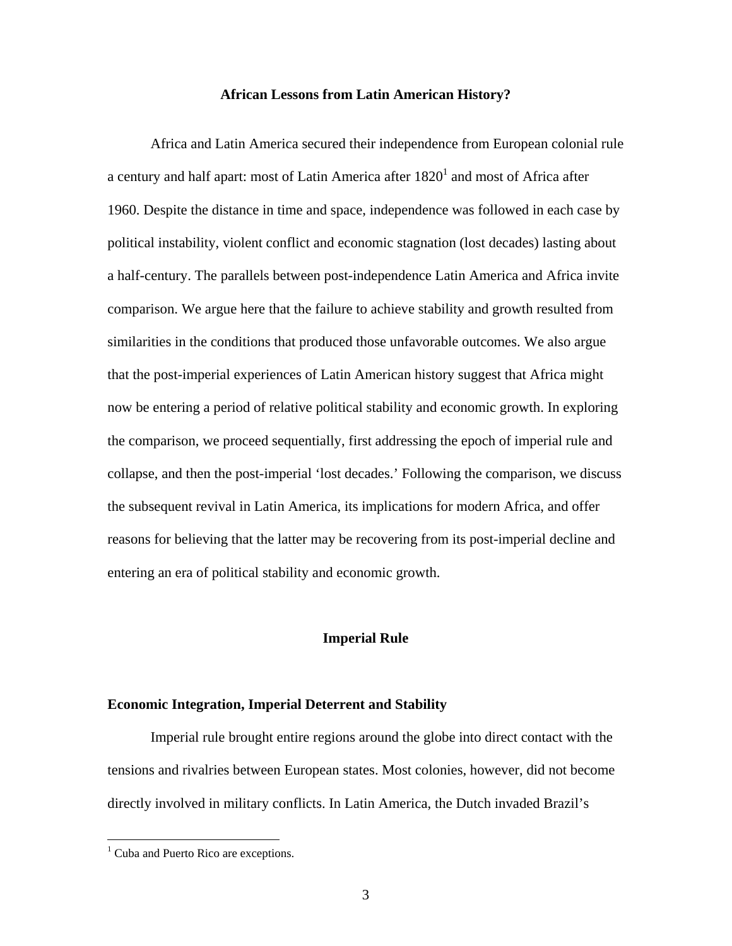## **African Lessons from Latin American History?**

Africa and Latin America secured their independence from European colonial rule a century and half apart: most of Latin America after  $1820<sup>1</sup>$  and most of Africa after 1960. Despite the distance in time and space, independence was followed in each case by political instability, violent conflict and economic stagnation (lost decades) lasting about a half-century. The parallels between post-independence Latin America and Africa invite comparison. We argue here that the failure to achieve stability and growth resulted from similarities in the conditions that produced those unfavorable outcomes. We also argue that the post-imperial experiences of Latin American history suggest that Africa might now be entering a period of relative political stability and economic growth. In exploring the comparison, we proceed sequentially, first addressing the epoch of imperial rule and collapse, and then the post-imperial 'lost decades.' Following the comparison, we discuss the subsequent revival in Latin America, its implications for modern Africa, and offer reasons for believing that the latter may be recovering from its post-imperial decline and entering an era of political stability and economic growth.

#### **Imperial Rule**

#### **Economic Integration, Imperial Deterrent and Stability**

Imperial rule brought entire regions around the globe into direct contact with the tensions and rivalries between European states. Most colonies, however, did not become directly involved in military conflicts. In Latin America, the Dutch invaded Brazil's

<u>.</u>

<sup>&</sup>lt;sup>1</sup> Cuba and Puerto Rico are exceptions.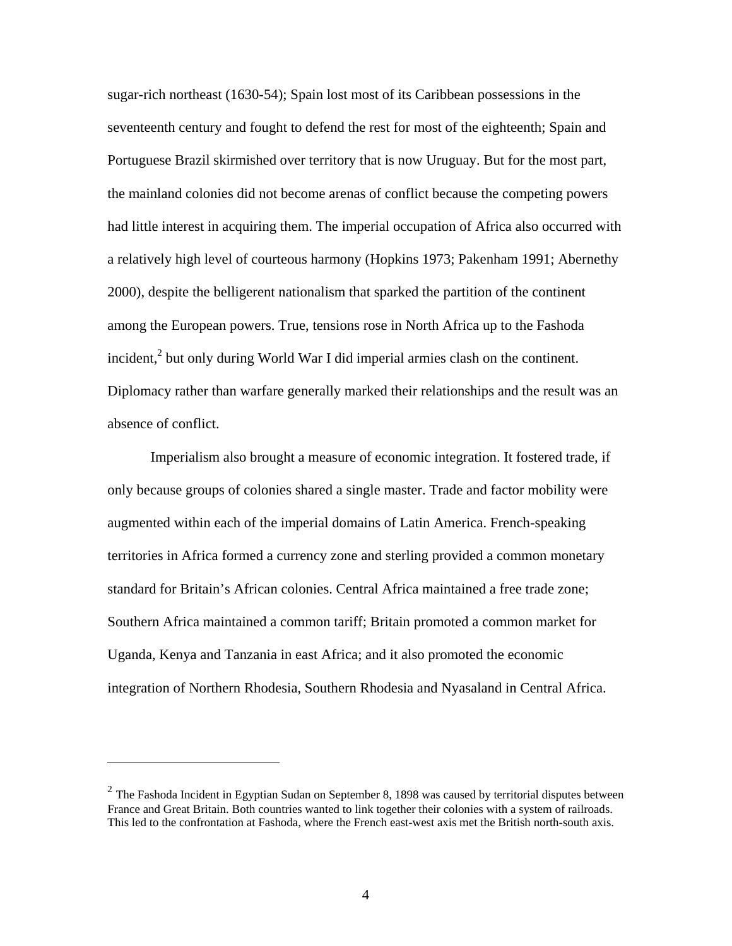sugar-rich northeast (1630-54); Spain lost most of its Caribbean possessions in the seventeenth century and fought to defend the rest for most of the eighteenth; Spain and Portuguese Brazil skirmished over territory that is now Uruguay. But for the most part, the mainland colonies did not become arenas of conflict because the competing powers had little interest in acquiring them. The imperial occupation of Africa also occurred with a relatively high level of courteous harmony (Hopkins 1973; Pakenham 1991; Abernethy 2000), despite the belligerent nationalism that sparked the partition of the continent among the European powers. True, tensions rose in North Africa up to the Fashoda incident, $<sup>2</sup>$  but only during World War I did imperial armies clash on the continent.</sup> Diplomacy rather than warfare generally marked their relationships and the result was an absence of conflict.

Imperialism also brought a measure of economic integration. It fostered trade, if only because groups of colonies shared a single master. Trade and factor mobility were augmented within each of the imperial domains of Latin America. French-speaking territories in Africa formed a currency zone and sterling provided a common monetary standard for Britain's African colonies. Central Africa maintained a free trade zone; Southern Africa maintained a common tariff; Britain promoted a common market for Uganda, Kenya and Tanzania in east Africa; and it also promoted the economic integration of Northern Rhodesia, Southern Rhodesia and Nyasaland in Central Africa.

 $2$  The Fashoda Incident in Egyptian Sudan on September 8, 1898 was caused by territorial disputes between France and Great Britain. Both countries wanted to link together their colonies with a system of railroads. This led to the confrontation at Fashoda, where the French east-west axis met the British north-south axis.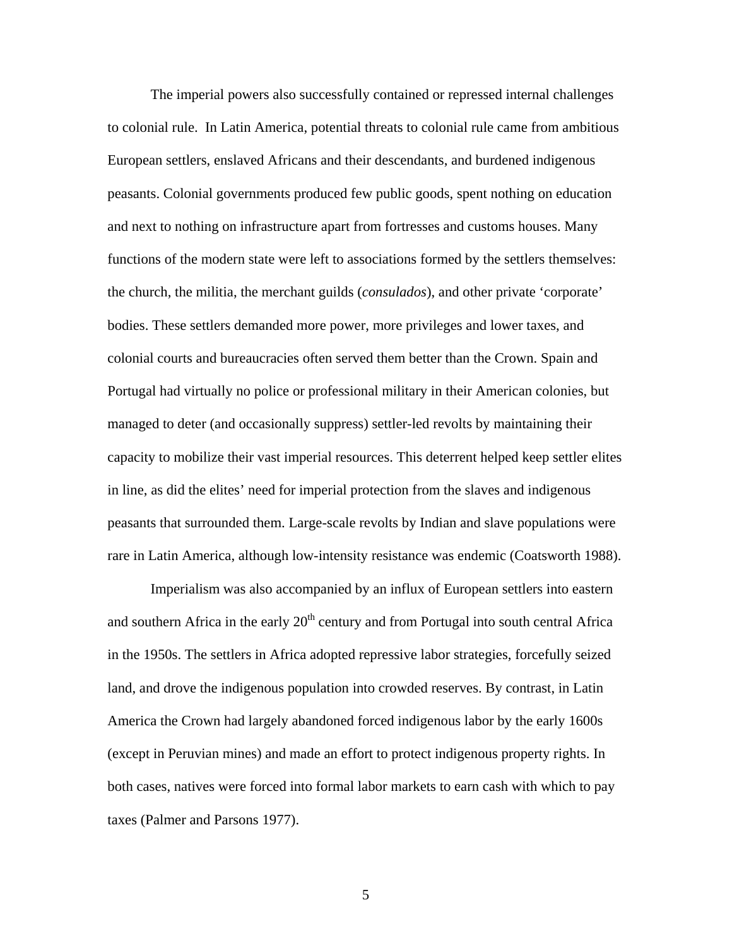The imperial powers also successfully contained or repressed internal challenges to colonial rule. In Latin America, potential threats to colonial rule came from ambitious European settlers, enslaved Africans and their descendants, and burdened indigenous peasants. Colonial governments produced few public goods, spent nothing on education and next to nothing on infrastructure apart from fortresses and customs houses. Many functions of the modern state were left to associations formed by the settlers themselves: the church, the militia, the merchant guilds (*consulados*), and other private 'corporate' bodies. These settlers demanded more power, more privileges and lower taxes, and colonial courts and bureaucracies often served them better than the Crown. Spain and Portugal had virtually no police or professional military in their American colonies, but managed to deter (and occasionally suppress) settler-led revolts by maintaining their capacity to mobilize their vast imperial resources. This deterrent helped keep settler elites in line, as did the elites' need for imperial protection from the slaves and indigenous peasants that surrounded them. Large-scale revolts by Indian and slave populations were rare in Latin America, although low-intensity resistance was endemic (Coatsworth 1988).

Imperialism was also accompanied by an influx of European settlers into eastern and southern Africa in the early  $20<sup>th</sup>$  century and from Portugal into south central Africa in the 1950s. The settlers in Africa adopted repressive labor strategies, forcefully seized land, and drove the indigenous population into crowded reserves. By contrast, in Latin America the Crown had largely abandoned forced indigenous labor by the early 1600s (except in Peruvian mines) and made an effort to protect indigenous property rights. In both cases, natives were forced into formal labor markets to earn cash with which to pay taxes (Palmer and Parsons 1977).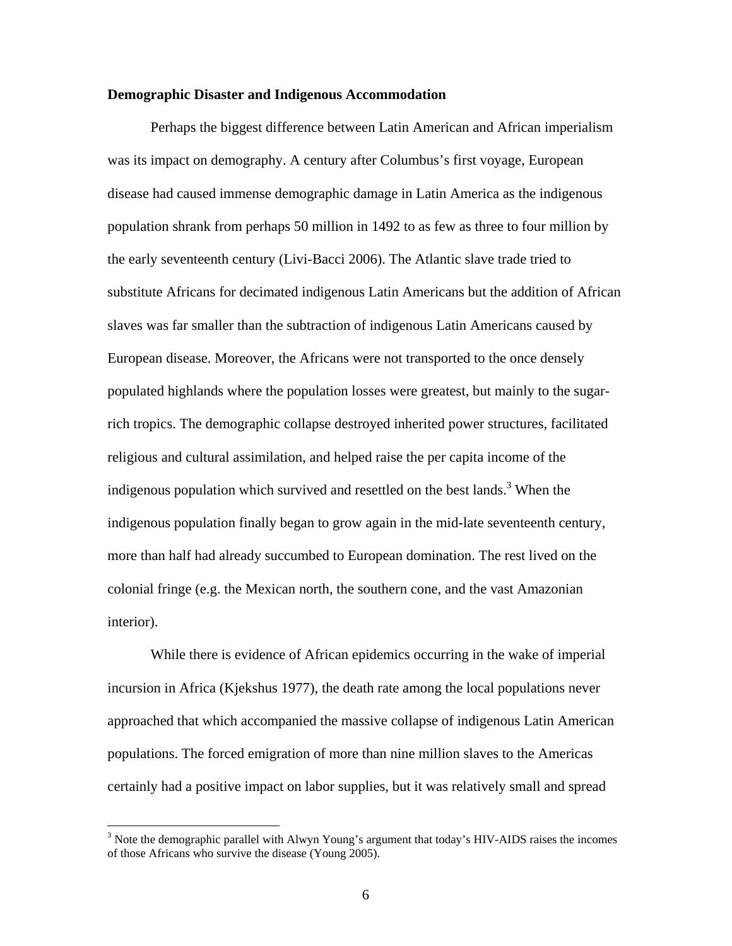## **Demographic Disaster and Indigenous Accommodation**

Perhaps the biggest difference between Latin American and African imperialism was its impact on demography. A century after Columbus's first voyage, European disease had caused immense demographic damage in Latin America as the indigenous population shrank from perhaps 50 million in 1492 to as few as three to four million by the early seventeenth century (Livi-Bacci 2006). The Atlantic slave trade tried to substitute Africans for decimated indigenous Latin Americans but the addition of African slaves was far smaller than the subtraction of indigenous Latin Americans caused by European disease. Moreover, the Africans were not transported to the once densely populated highlands where the population losses were greatest, but mainly to the sugarrich tropics. The demographic collapse destroyed inherited power structures, facilitated religious and cultural assimilation, and helped raise the per capita income of the indigenous population which survived and resettled on the best lands.<sup>3</sup> When the indigenous population finally began to grow again in the mid-late seventeenth century, more than half had already succumbed to European domination. The rest lived on the colonial fringe (e.g. the Mexican north, the southern cone, and the vast Amazonian interior).

While there is evidence of African epidemics occurring in the wake of imperial incursion in Africa (Kjekshus 1977), the death rate among the local populations never approached that which accompanied the massive collapse of indigenous Latin American populations. The forced emigration of more than nine million slaves to the Americas certainly had a positive impact on labor supplies, but it was relatively small and spread

 $3$  Note the demographic parallel with Alwyn Young's argument that today's HIV-AIDS raises the incomes of those Africans who survive the disease (Young 2005).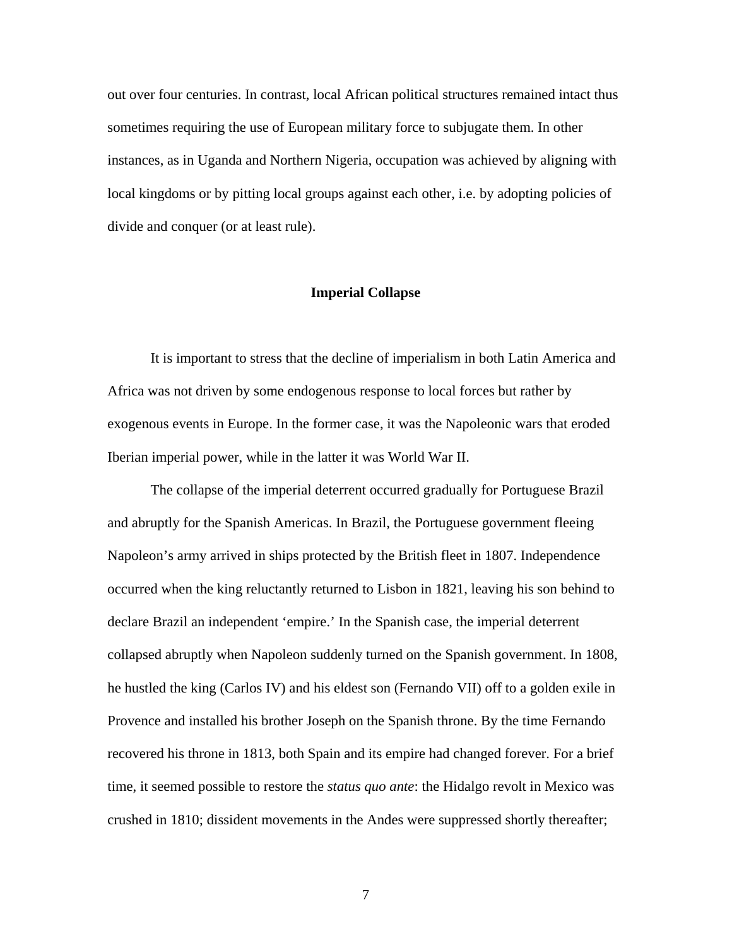out over four centuries. In contrast, local African political structures remained intact thus sometimes requiring the use of European military force to subjugate them. In other instances, as in Uganda and Northern Nigeria, occupation was achieved by aligning with local kingdoms or by pitting local groups against each other, i.e. by adopting policies of divide and conquer (or at least rule).

## **Imperial Collapse**

It is important to stress that the decline of imperialism in both Latin America and Africa was not driven by some endogenous response to local forces but rather by exogenous events in Europe. In the former case, it was the Napoleonic wars that eroded Iberian imperial power, while in the latter it was World War II.

The collapse of the imperial deterrent occurred gradually for Portuguese Brazil and abruptly for the Spanish Americas. In Brazil, the Portuguese government fleeing Napoleon's army arrived in ships protected by the British fleet in 1807. Independence occurred when the king reluctantly returned to Lisbon in 1821, leaving his son behind to declare Brazil an independent 'empire.' In the Spanish case, the imperial deterrent collapsed abruptly when Napoleon suddenly turned on the Spanish government. In 1808, he hustled the king (Carlos IV) and his eldest son (Fernando VII) off to a golden exile in Provence and installed his brother Joseph on the Spanish throne. By the time Fernando recovered his throne in 1813, both Spain and its empire had changed forever. For a brief time, it seemed possible to restore the *status quo ante*: the Hidalgo revolt in Mexico was crushed in 1810; dissident movements in the Andes were suppressed shortly thereafter;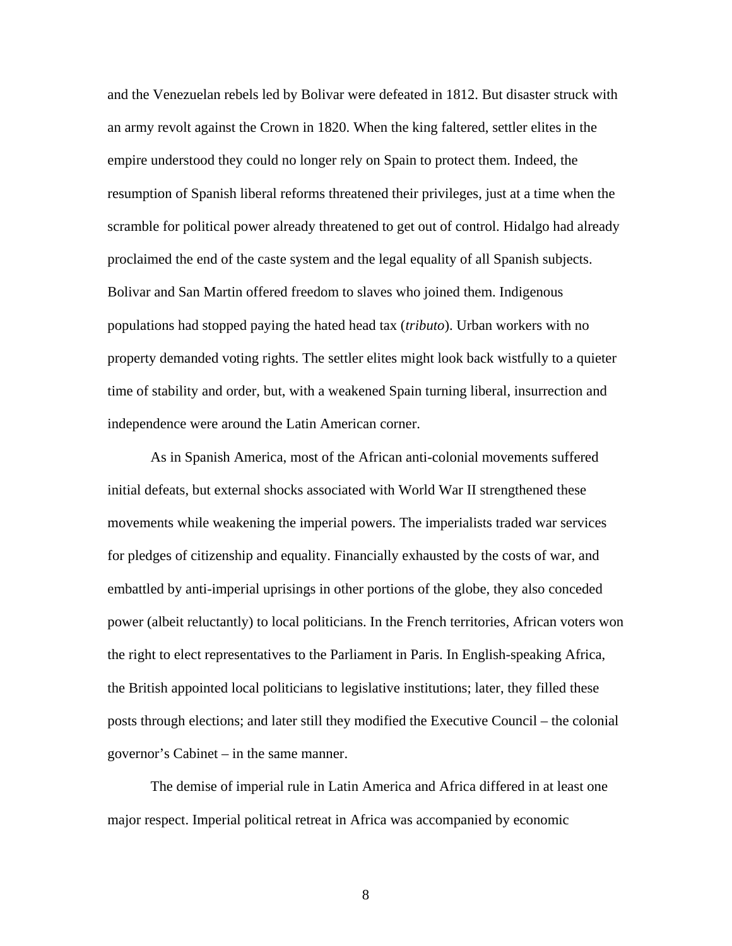and the Venezuelan rebels led by Bolivar were defeated in 1812. But disaster struck with an army revolt against the Crown in 1820. When the king faltered, settler elites in the empire understood they could no longer rely on Spain to protect them. Indeed, the resumption of Spanish liberal reforms threatened their privileges, just at a time when the scramble for political power already threatened to get out of control. Hidalgo had already proclaimed the end of the caste system and the legal equality of all Spanish subjects. Bolivar and San Martin offered freedom to slaves who joined them. Indigenous populations had stopped paying the hated head tax (*tributo*). Urban workers with no property demanded voting rights. The settler elites might look back wistfully to a quieter time of stability and order, but, with a weakened Spain turning liberal, insurrection and independence were around the Latin American corner.

As in Spanish America, most of the African anti-colonial movements suffered initial defeats, but external shocks associated with World War II strengthened these movements while weakening the imperial powers. The imperialists traded war services for pledges of citizenship and equality. Financially exhausted by the costs of war, and embattled by anti-imperial uprisings in other portions of the globe, they also conceded power (albeit reluctantly) to local politicians. In the French territories, African voters won the right to elect representatives to the Parliament in Paris. In English-speaking Africa, the British appointed local politicians to legislative institutions; later, they filled these posts through elections; and later still they modified the Executive Council – the colonial governor's Cabinet – in the same manner.

The demise of imperial rule in Latin America and Africa differed in at least one major respect. Imperial political retreat in Africa was accompanied by economic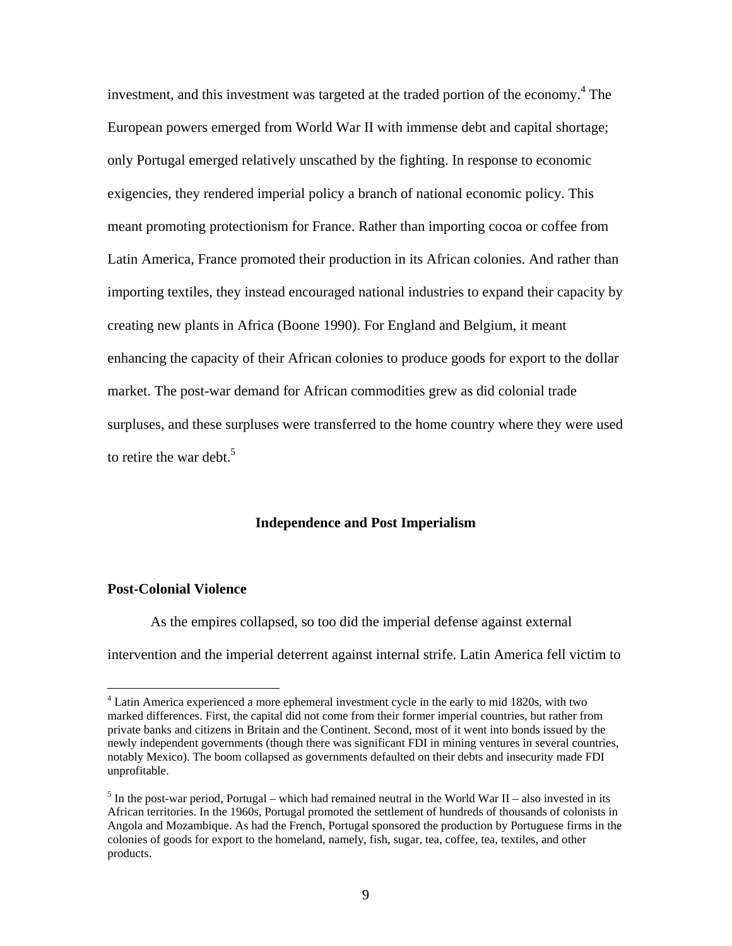investment, and this investment was targeted at the traded portion of the economy.<sup>4</sup> The European powers emerged from World War II with immense debt and capital shortage; only Portugal emerged relatively unscathed by the fighting. In response to economic exigencies, they rendered imperial policy a branch of national economic policy. This meant promoting protectionism for France. Rather than importing cocoa or coffee from Latin America, France promoted their production in its African colonies. And rather than importing textiles, they instead encouraged national industries to expand their capacity by creating new plants in Africa (Boone 1990). For England and Belgium, it meant enhancing the capacity of their African colonies to produce goods for export to the dollar market. The post-war demand for African commodities grew as did colonial trade surpluses, and these surpluses were transferred to the home country where they were used to retire the war debt.<sup>5</sup>

## **Independence and Post Imperialism**

#### **Post-Colonial Violence**

 $\overline{a}$ 

As the empires collapsed, so too did the imperial defense against external intervention and the imperial deterrent against internal strife. Latin America fell victim to

<sup>&</sup>lt;sup>4</sup> Latin America experienced a more ephemeral investment cycle in the early to mid 1820s, with two marked differences. First, the capital did not come from their former imperial countries, but rather from private banks and citizens in Britain and the Continent. Second, most of it went into bonds issued by the newly independent governments (though there was significant FDI in mining ventures in several countries, notably Mexico). The boom collapsed as governments defaulted on their debts and insecurity made FDI unprofitable.

 $<sup>5</sup>$  In the post-war period, Portugal – which had remained neutral in the World War II – also invested in its</sup> African territories. In the 1960s, Portugal promoted the settlement of hundreds of thousands of colonists in Angola and Mozambique. As had the French, Portugal sponsored the production by Portuguese firms in the colonies of goods for export to the homeland, namely, fish, sugar, tea, coffee, tea, textiles, and other products.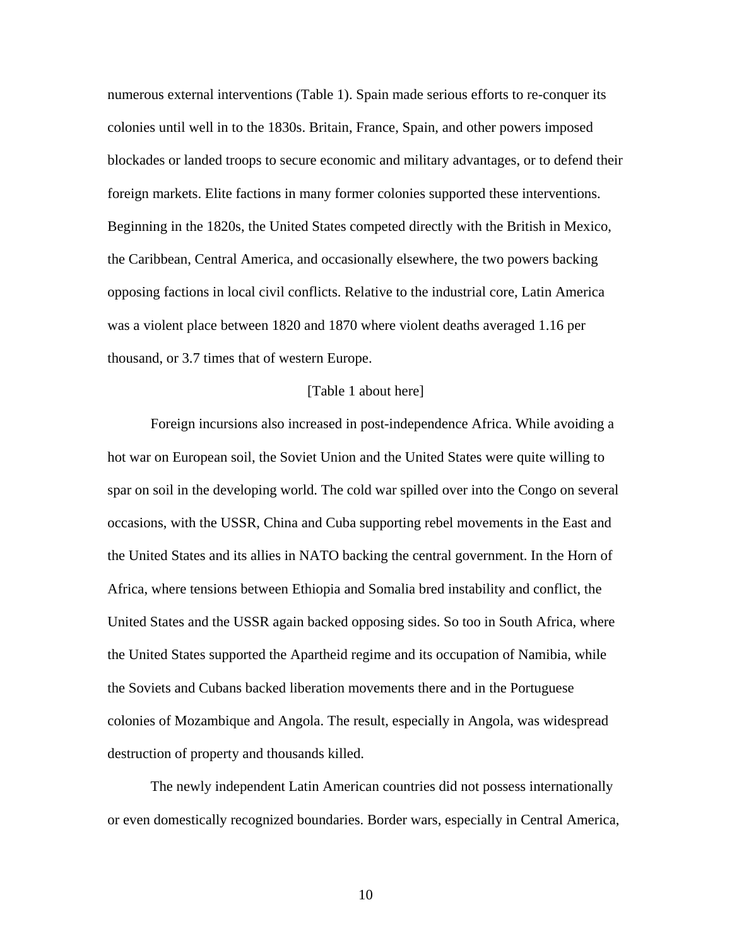numerous external interventions (Table 1). Spain made serious efforts to re-conquer its colonies until well in to the 1830s. Britain, France, Spain, and other powers imposed blockades or landed troops to secure economic and military advantages, or to defend their foreign markets. Elite factions in many former colonies supported these interventions. Beginning in the 1820s, the United States competed directly with the British in Mexico, the Caribbean, Central America, and occasionally elsewhere, the two powers backing opposing factions in local civil conflicts. Relative to the industrial core, Latin America was a violent place between 1820 and 1870 where violent deaths averaged 1.16 per thousand, or 3.7 times that of western Europe.

#### [Table 1 about here]

Foreign incursions also increased in post-independence Africa. While avoiding a hot war on European soil, the Soviet Union and the United States were quite willing to spar on soil in the developing world. The cold war spilled over into the Congo on several occasions, with the USSR, China and Cuba supporting rebel movements in the East and the United States and its allies in NATO backing the central government. In the Horn of Africa, where tensions between Ethiopia and Somalia bred instability and conflict, the United States and the USSR again backed opposing sides. So too in South Africa, where the United States supported the Apartheid regime and its occupation of Namibia, while the Soviets and Cubans backed liberation movements there and in the Portuguese colonies of Mozambique and Angola. The result, especially in Angola, was widespread destruction of property and thousands killed.

The newly independent Latin American countries did not possess internationally or even domestically recognized boundaries. Border wars, especially in Central America,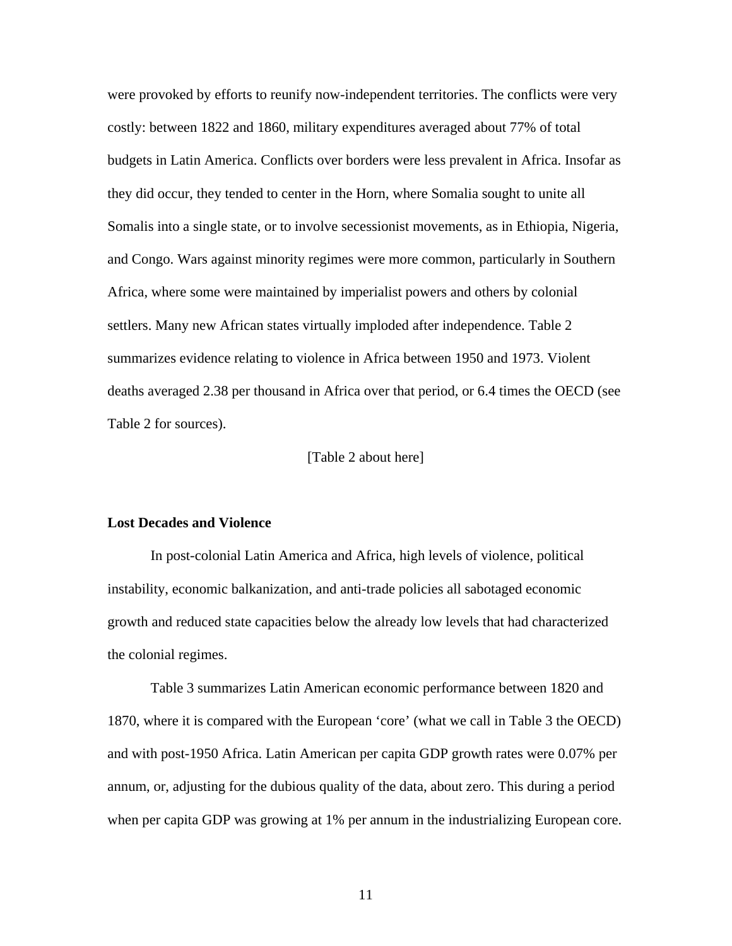were provoked by efforts to reunify now-independent territories. The conflicts were very costly: between 1822 and 1860, military expenditures averaged about 77% of total budgets in Latin America. Conflicts over borders were less prevalent in Africa. Insofar as they did occur, they tended to center in the Horn, where Somalia sought to unite all Somalis into a single state, or to involve secessionist movements, as in Ethiopia, Nigeria, and Congo. Wars against minority regimes were more common, particularly in Southern Africa, where some were maintained by imperialist powers and others by colonial settlers. Many new African states virtually imploded after independence. Table 2 summarizes evidence relating to violence in Africa between 1950 and 1973. Violent deaths averaged 2.38 per thousand in Africa over that period, or 6.4 times the OECD (see Table 2 for sources).

#### [Table 2 about here]

#### **Lost Decades and Violence**

In post-colonial Latin America and Africa, high levels of violence, political instability, economic balkanization, and anti-trade policies all sabotaged economic growth and reduced state capacities below the already low levels that had characterized the colonial regimes.

Table 3 summarizes Latin American economic performance between 1820 and 1870, where it is compared with the European 'core' (what we call in Table 3 the OECD) and with post-1950 Africa. Latin American per capita GDP growth rates were 0.07% per annum, or, adjusting for the dubious quality of the data, about zero. This during a period when per capita GDP was growing at 1% per annum in the industrializing European core.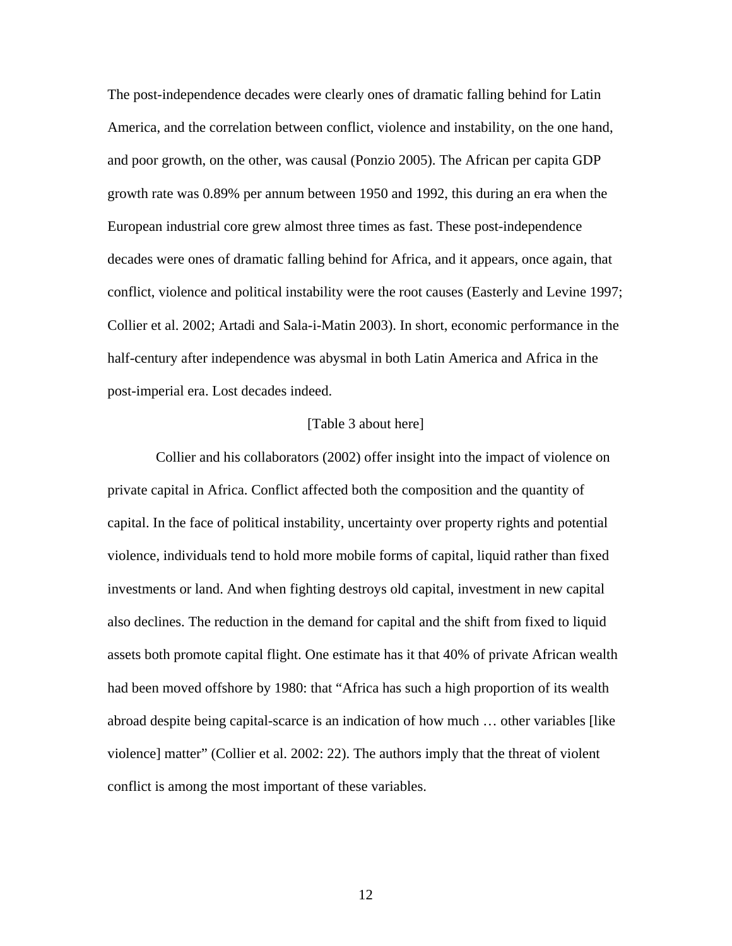The post-independence decades were clearly ones of dramatic falling behind for Latin America, and the correlation between conflict, violence and instability, on the one hand, and poor growth, on the other, was causal (Ponzio 2005). The African per capita GDP growth rate was 0.89% per annum between 1950 and 1992, this during an era when the European industrial core grew almost three times as fast. These post-independence decades were ones of dramatic falling behind for Africa, and it appears, once again, that conflict, violence and political instability were the root causes (Easterly and Levine 1997; Collier et al. 2002; Artadi and Sala-i-Matin 2003). In short, economic performance in the half-century after independence was abysmal in both Latin America and Africa in the post-imperial era. Lost decades indeed.

## [Table 3 about here]

Collier and his collaborators (2002) offer insight into the impact of violence on private capital in Africa. Conflict affected both the composition and the quantity of capital. In the face of political instability, uncertainty over property rights and potential violence, individuals tend to hold more mobile forms of capital, liquid rather than fixed investments or land. And when fighting destroys old capital, investment in new capital also declines. The reduction in the demand for capital and the shift from fixed to liquid assets both promote capital flight. One estimate has it that 40% of private African wealth had been moved offshore by 1980: that "Africa has such a high proportion of its wealth abroad despite being capital-scarce is an indication of how much … other variables [like violence] matter" (Collier et al. 2002: 22). The authors imply that the threat of violent conflict is among the most important of these variables.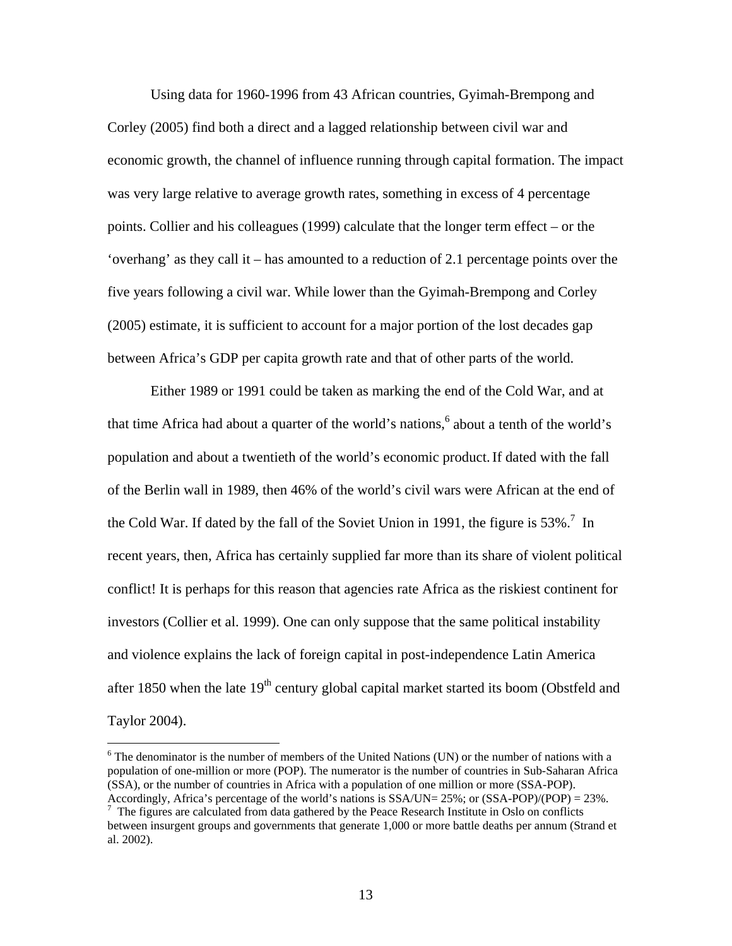Using data for 1960-1996 from 43 African countries, Gyimah-Brempong and Corley (2005) find both a direct and a lagged relationship between civil war and economic growth, the channel of influence running through capital formation. The impact was very large relative to average growth rates, something in excess of 4 percentage points. Collier and his colleagues (1999) calculate that the longer term effect – or the 'overhang' as they call it – has amounted to a reduction of 2.1 percentage points over the five years following a civil war. While lower than the Gyimah-Brempong and Corley (2005) estimate, it is sufficient to account for a major portion of the lost decades gap between Africa's GDP per capita growth rate and that of other parts of the world.

Either 1989 or 1991 could be taken as marking the end of the Cold War, and at that time Africa had about a quarter of the world's nations,<sup>6</sup> about a tenth of the world's population and about a twentieth of the world's economic product.If dated with the fall of the Berlin wall in 1989, then 46% of the world's civil wars were African at the end of the Cold War. If dated by the fall of the Soviet Union in 1991, the figure is  $53\%$ <sup>7</sup>. In recent years, then, Africa has certainly supplied far more than its share of violent political conflict! It is perhaps for this reason that agencies rate Africa as the riskiest continent for investors (Collier et al. 1999). One can only suppose that the same political instability and violence explains the lack of foreign capital in post-independence Latin America after 1850 when the late  $19<sup>th</sup>$  century global capital market started its boom (Obstfeld and Taylor 2004).

 $6$  The denominator is the number of members of the United Nations (UN) or the number of nations with a population of one-million or more (POP). The numerator is the number of countries in Sub-Saharan Africa (SSA), or the number of countries in Africa with a population of one million or more (SSA-POP). Accordingly, Africa's percentage of the world's nations is  $SSA/UN = 25\%$ ; or  $(SSA-POP)/(POP) = 23\%$ .

<sup>&</sup>lt;sup>7</sup> The figures are calculated from data gathered by the Peace Research Institute in Oslo on conflicts between insurgent groups and governments that generate 1,000 or more battle deaths per annum (Strand et al. 2002).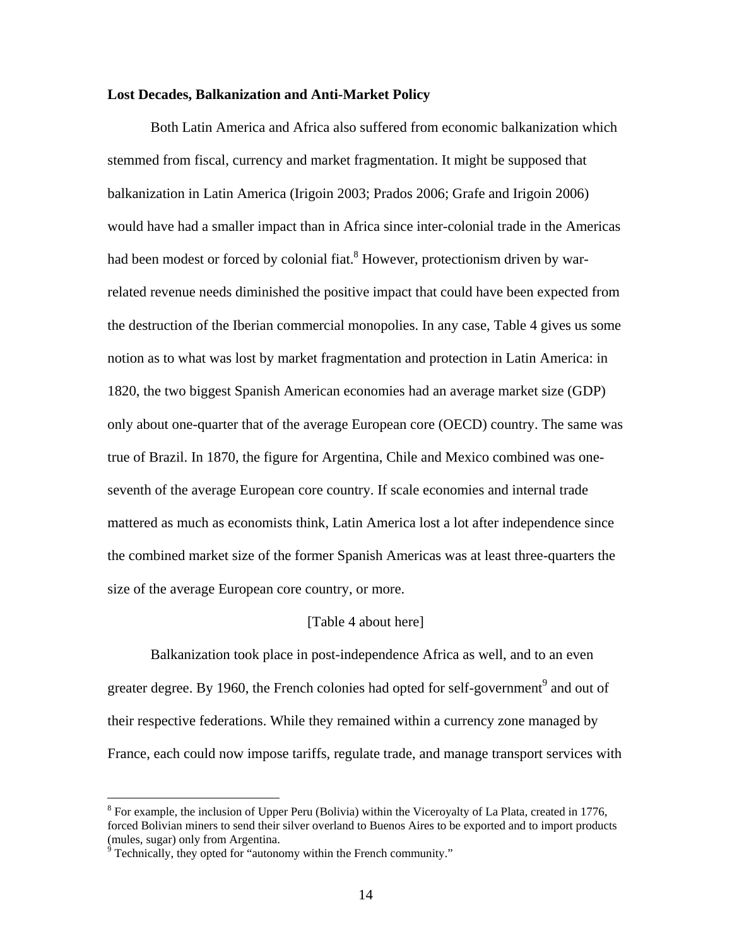## **Lost Decades, Balkanization and Anti-Market Policy**

Both Latin America and Africa also suffered from economic balkanization which stemmed from fiscal, currency and market fragmentation. It might be supposed that balkanization in Latin America (Irigoin 2003; Prados 2006; Grafe and Irigoin 2006) would have had a smaller impact than in Africa since inter-colonial trade in the Americas had been modest or forced by colonial fiat.<sup>8</sup> However, protectionism driven by warrelated revenue needs diminished the positive impact that could have been expected from the destruction of the Iberian commercial monopolies. In any case, Table 4 gives us some notion as to what was lost by market fragmentation and protection in Latin America: in 1820, the two biggest Spanish American economies had an average market size (GDP) only about one-quarter that of the average European core (OECD) country. The same was true of Brazil. In 1870, the figure for Argentina, Chile and Mexico combined was oneseventh of the average European core country. If scale economies and internal trade mattered as much as economists think, Latin America lost a lot after independence since the combined market size of the former Spanish Americas was at least three-quarters the size of the average European core country, or more.

#### [Table 4 about here]

Balkanization took place in post-independence Africa as well, and to an even greater degree. By 1960, the French colonies had opted for self-government<sup>9</sup> and out of their respective federations. While they remained within a currency zone managed by France, each could now impose tariffs, regulate trade, and manage transport services with

 $8$  For example, the inclusion of Upper Peru (Bolivia) within the Viceroyalty of La Plata, created in 1776, forced Bolivian miners to send their silver overland to Buenos Aires to be exported and to import products (mules, sugar) only from Argentina.

 $9^9$  Technically, they opted for "autonomy within the French community."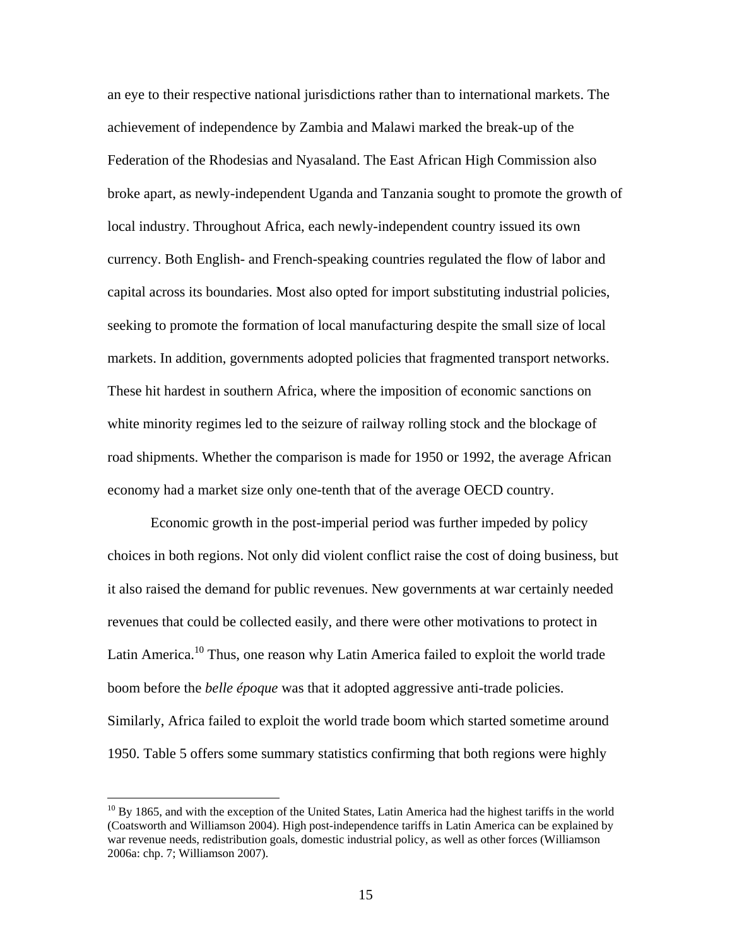an eye to their respective national jurisdictions rather than to international markets. The achievement of independence by Zambia and Malawi marked the break-up of the Federation of the Rhodesias and Nyasaland. The East African High Commission also broke apart, as newly-independent Uganda and Tanzania sought to promote the growth of local industry. Throughout Africa, each newly-independent country issued its own currency. Both English- and French-speaking countries regulated the flow of labor and capital across its boundaries. Most also opted for import substituting industrial policies, seeking to promote the formation of local manufacturing despite the small size of local markets. In addition, governments adopted policies that fragmented transport networks. These hit hardest in southern Africa, where the imposition of economic sanctions on white minority regimes led to the seizure of railway rolling stock and the blockage of road shipments. Whether the comparison is made for 1950 or 1992, the average African economy had a market size only one-tenth that of the average OECD country.

Economic growth in the post-imperial period was further impeded by policy choices in both regions. Not only did violent conflict raise the cost of doing business, but it also raised the demand for public revenues. New governments at war certainly needed revenues that could be collected easily, and there were other motivations to protect in Latin America.<sup>10</sup> Thus, one reason why Latin America failed to exploit the world trade boom before the *belle époque* was that it adopted aggressive anti-trade policies. Similarly, Africa failed to exploit the world trade boom which started sometime around 1950. Table 5 offers some summary statistics confirming that both regions were highly

 $10$  By 1865, and with the exception of the United States, Latin America had the highest tariffs in the world (Coatsworth and Williamson 2004). High post-independence tariffs in Latin America can be explained by war revenue needs, redistribution goals, domestic industrial policy, as well as other forces (Williamson 2006a: chp. 7; Williamson 2007).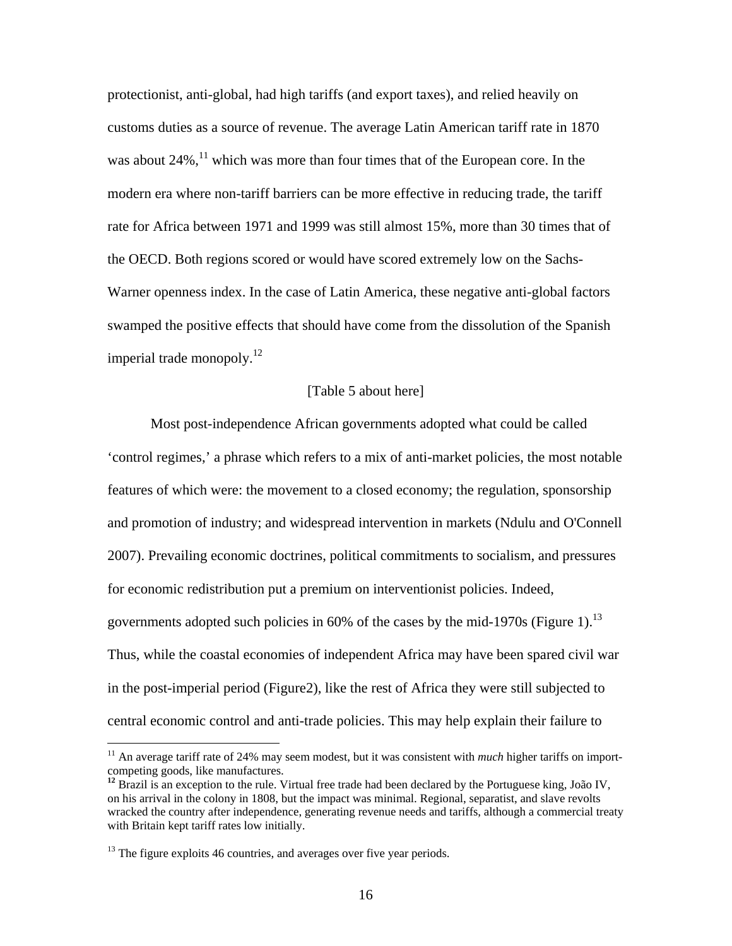protectionist, anti-global, had high tariffs (and export taxes), and relied heavily on customs duties as a source of revenue. The average Latin American tariff rate in 1870 was about  $24\%$ ,<sup>11</sup> which was more than four times that of the European core. In the modern era where non-tariff barriers can be more effective in reducing trade, the tariff rate for Africa between 1971 and 1999 was still almost 15%, more than 30 times that of the OECD. Both regions scored or would have scored extremely low on the Sachs-Warner openness index. In the case of Latin America, these negative anti-global factors swamped the positive effects that should have come from the dissolution of the Spanish imperial trade monopoly. $12$ 

#### [Table 5 about here]

Most post-independence African governments adopted what could be called 'control regimes,' a phrase which refers to a mix of anti-market policies, the most notable features of which were: the movement to a closed economy; the regulation, sponsorship and promotion of industry; and widespread intervention in markets (Ndulu and O'Connell 2007). Prevailing economic doctrines, political commitments to socialism, and pressures for economic redistribution put a premium on interventionist policies. Indeed, governments adopted such policies in 60% of the cases by the mid-1970s (Figure 1).<sup>13</sup> Thus, while the coastal economies of independent Africa may have been spared civil war in the post-imperial period (Figure2), like the rest of Africa they were still subjected to central economic control and anti-trade policies. This may help explain their failure to

<sup>&</sup>lt;sup>11</sup> An average tariff rate of 24% may seem modest, but it was consistent with *much* higher tariffs on importcompeting goods, like manufactures.

<sup>&</sup>lt;sup>12</sup> Brazil is an exception to the rule. Virtual free trade had been declared by the Portuguese king, João IV, on his arrival in the colony in 1808, but the impact was minimal. Regional, separatist, and slave revolts wracked the country after independence, generating revenue needs and tariffs, although a commercial treaty with Britain kept tariff rates low initially.

 $13$  The figure exploits 46 countries, and averages over five year periods.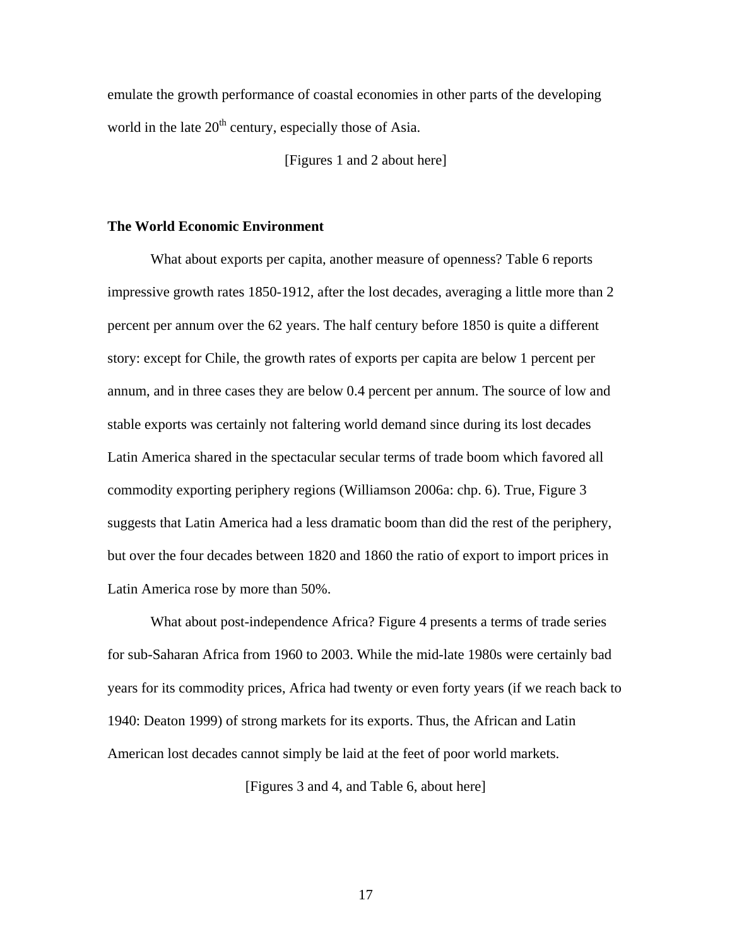emulate the growth performance of coastal economies in other parts of the developing world in the late  $20<sup>th</sup>$  century, especially those of Asia.

[Figures 1 and 2 about here]

## **The World Economic Environment**

What about exports per capita, another measure of openness? Table 6 reports impressive growth rates 1850-1912, after the lost decades, averaging a little more than 2 percent per annum over the 62 years. The half century before 1850 is quite a different story: except for Chile, the growth rates of exports per capita are below 1 percent per annum, and in three cases they are below 0.4 percent per annum. The source of low and stable exports was certainly not faltering world demand since during its lost decades Latin America shared in the spectacular secular terms of trade boom which favored all commodity exporting periphery regions (Williamson 2006a: chp. 6). True, Figure 3 suggests that Latin America had a less dramatic boom than did the rest of the periphery, but over the four decades between 1820 and 1860 the ratio of export to import prices in Latin America rose by more than 50%.

What about post-independence Africa? Figure 4 presents a terms of trade series for sub-Saharan Africa from 1960 to 2003. While the mid-late 1980s were certainly bad years for its commodity prices, Africa had twenty or even forty years (if we reach back to 1940: Deaton 1999) of strong markets for its exports. Thus, the African and Latin American lost decades cannot simply be laid at the feet of poor world markets.

[Figures 3 and 4, and Table 6, about here]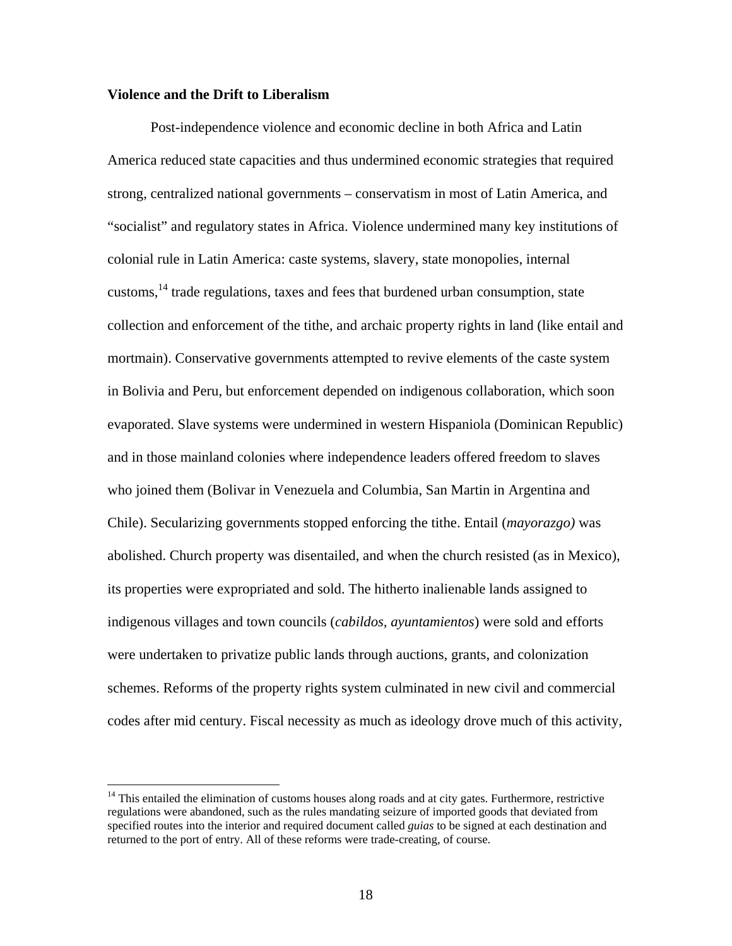## **Violence and the Drift to Liberalism**

 $\overline{a}$ 

Post-independence violence and economic decline in both Africa and Latin America reduced state capacities and thus undermined economic strategies that required strong, centralized national governments – conservatism in most of Latin America, and "socialist" and regulatory states in Africa. Violence undermined many key institutions of colonial rule in Latin America: caste systems, slavery, state monopolies, internal customs,  $14$  trade regulations, taxes and fees that burdened urban consumption, state collection and enforcement of the tithe, and archaic property rights in land (like entail and mortmain). Conservative governments attempted to revive elements of the caste system in Bolivia and Peru, but enforcement depended on indigenous collaboration, which soon evaporated. Slave systems were undermined in western Hispaniola (Dominican Republic) and in those mainland colonies where independence leaders offered freedom to slaves who joined them (Bolivar in Venezuela and Columbia, San Martin in Argentina and Chile). Secularizing governments stopped enforcing the tithe. Entail (*mayorazgo)* was abolished. Church property was disentailed, and when the church resisted (as in Mexico), its properties were expropriated and sold. The hitherto inalienable lands assigned to indigenous villages and town councils (*cabildos, ayuntamientos*) were sold and efforts were undertaken to privatize public lands through auctions, grants, and colonization schemes. Reforms of the property rights system culminated in new civil and commercial codes after mid century. Fiscal necessity as much as ideology drove much of this activity,

<sup>&</sup>lt;sup>14</sup> This entailed the elimination of customs houses along roads and at city gates. Furthermore, restrictive regulations were abandoned, such as the rules mandating seizure of imported goods that deviated from specified routes into the interior and required document called *guias* to be signed at each destination and returned to the port of entry. All of these reforms were trade-creating, of course.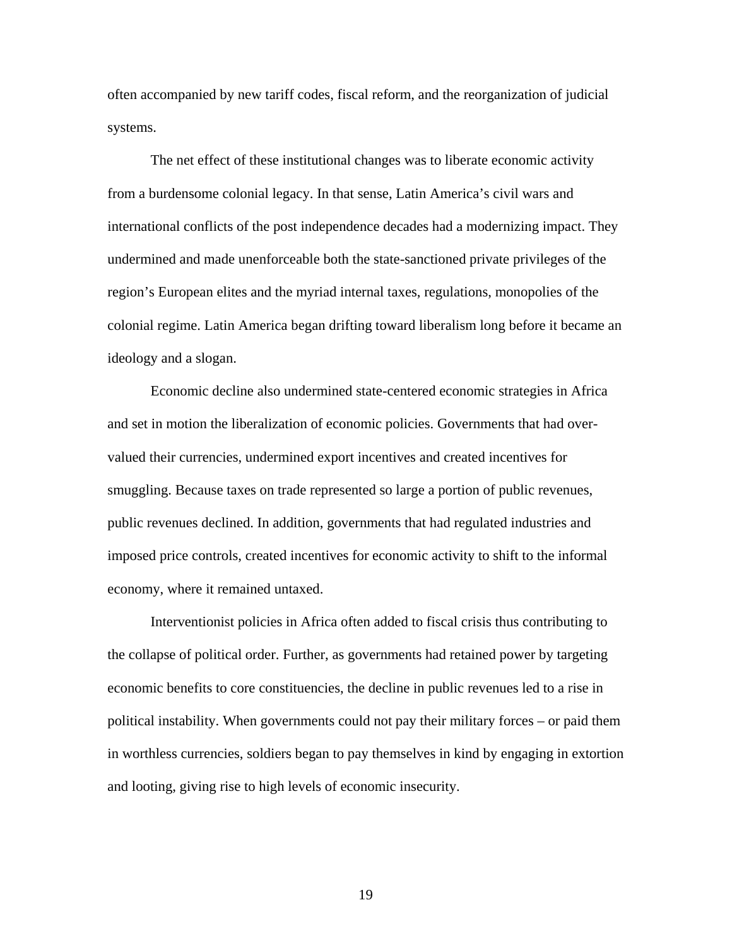often accompanied by new tariff codes, fiscal reform, and the reorganization of judicial systems.

The net effect of these institutional changes was to liberate economic activity from a burdensome colonial legacy. In that sense, Latin America's civil wars and international conflicts of the post independence decades had a modernizing impact. They undermined and made unenforceable both the state-sanctioned private privileges of the region's European elites and the myriad internal taxes, regulations, monopolies of the colonial regime. Latin America began drifting toward liberalism long before it became an ideology and a slogan.

Economic decline also undermined state-centered economic strategies in Africa and set in motion the liberalization of economic policies. Governments that had overvalued their currencies, undermined export incentives and created incentives for smuggling. Because taxes on trade represented so large a portion of public revenues, public revenues declined. In addition, governments that had regulated industries and imposed price controls, created incentives for economic activity to shift to the informal economy, where it remained untaxed.

Interventionist policies in Africa often added to fiscal crisis thus contributing to the collapse of political order. Further, as governments had retained power by targeting economic benefits to core constituencies, the decline in public revenues led to a rise in political instability. When governments could not pay their military forces – or paid them in worthless currencies, soldiers began to pay themselves in kind by engaging in extortion and looting, giving rise to high levels of economic insecurity.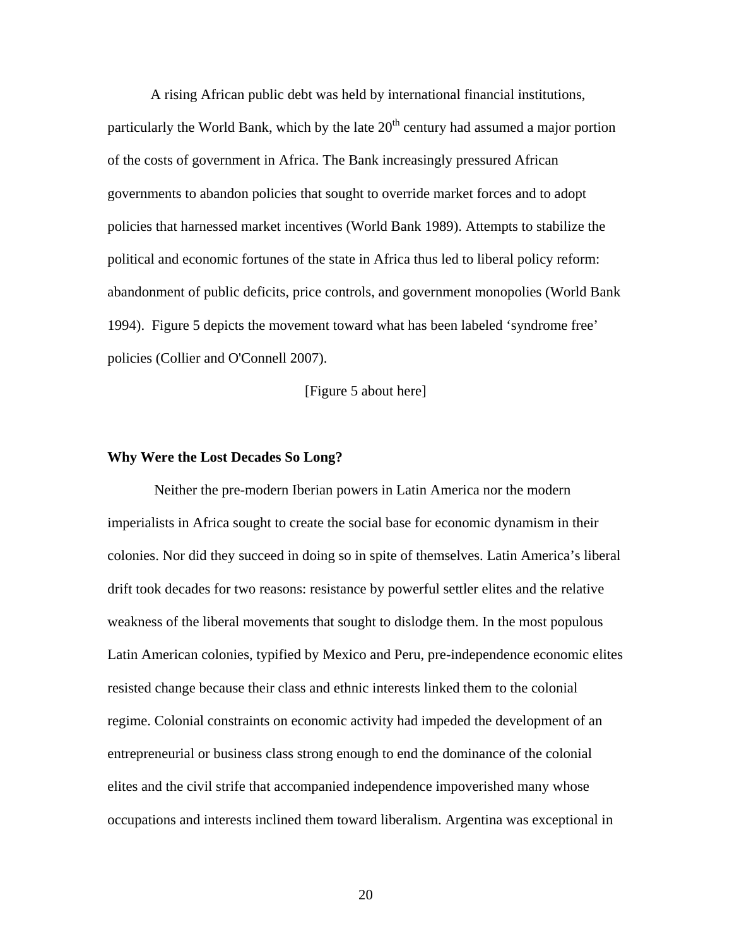A rising African public debt was held by international financial institutions, particularly the World Bank, which by the late  $20<sup>th</sup>$  century had assumed a major portion of the costs of government in Africa. The Bank increasingly pressured African governments to abandon policies that sought to override market forces and to adopt policies that harnessed market incentives (World Bank 1989). Attempts to stabilize the political and economic fortunes of the state in Africa thus led to liberal policy reform: abandonment of public deficits, price controls, and government monopolies (World Bank 1994). Figure 5 depicts the movement toward what has been labeled 'syndrome free' policies (Collier and O'Connell 2007).

[Figure 5 about here]

#### **Why Were the Lost Decades So Long?**

 Neither the pre-modern Iberian powers in Latin America nor the modern imperialists in Africa sought to create the social base for economic dynamism in their colonies. Nor did they succeed in doing so in spite of themselves. Latin America's liberal drift took decades for two reasons: resistance by powerful settler elites and the relative weakness of the liberal movements that sought to dislodge them. In the most populous Latin American colonies, typified by Mexico and Peru, pre-independence economic elites resisted change because their class and ethnic interests linked them to the colonial regime. Colonial constraints on economic activity had impeded the development of an entrepreneurial or business class strong enough to end the dominance of the colonial elites and the civil strife that accompanied independence impoverished many whose occupations and interests inclined them toward liberalism. Argentina was exceptional in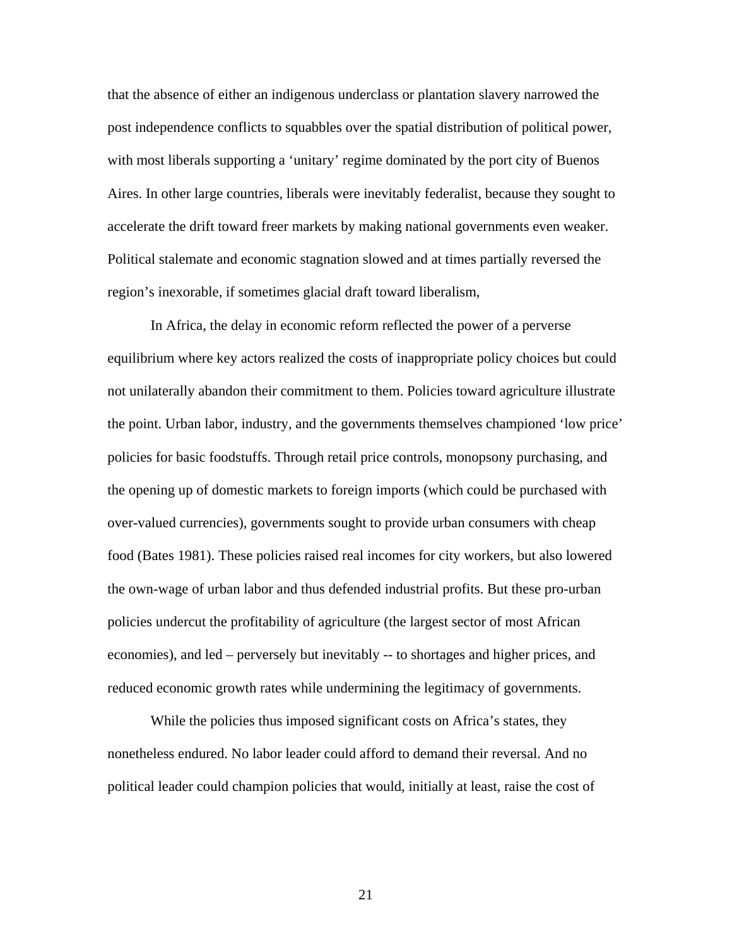that the absence of either an indigenous underclass or plantation slavery narrowed the post independence conflicts to squabbles over the spatial distribution of political power, with most liberals supporting a 'unitary' regime dominated by the port city of Buenos Aires. In other large countries, liberals were inevitably federalist, because they sought to accelerate the drift toward freer markets by making national governments even weaker. Political stalemate and economic stagnation slowed and at times partially reversed the region's inexorable, if sometimes glacial draft toward liberalism,

 In Africa, the delay in economic reform reflected the power of a perverse equilibrium where key actors realized the costs of inappropriate policy choices but could not unilaterally abandon their commitment to them. Policies toward agriculture illustrate the point. Urban labor, industry, and the governments themselves championed 'low price' policies for basic foodstuffs. Through retail price controls, monopsony purchasing, and the opening up of domestic markets to foreign imports (which could be purchased with over-valued currencies), governments sought to provide urban consumers with cheap food (Bates 1981). These policies raised real incomes for city workers, but also lowered the own-wage of urban labor and thus defended industrial profits. But these pro-urban policies undercut the profitability of agriculture (the largest sector of most African economies), and led – perversely but inevitably -- to shortages and higher prices, and reduced economic growth rates while undermining the legitimacy of governments.

While the policies thus imposed significant costs on Africa's states, they nonetheless endured. No labor leader could afford to demand their reversal. And no political leader could champion policies that would, initially at least, raise the cost of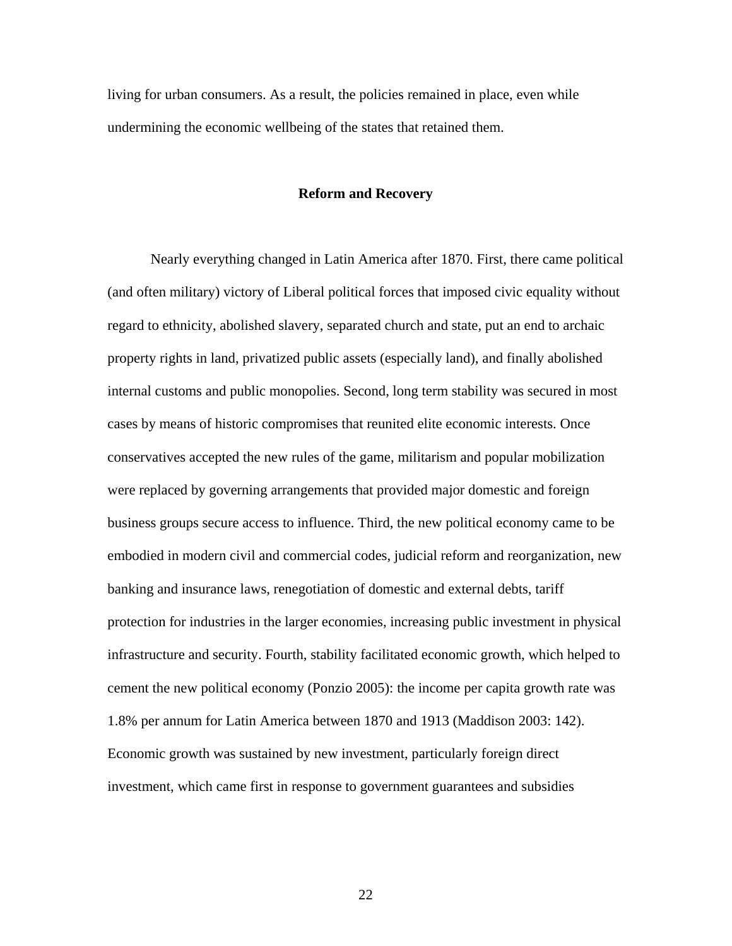living for urban consumers. As a result, the policies remained in place, even while undermining the economic wellbeing of the states that retained them.

## **Reform and Recovery**

Nearly everything changed in Latin America after 1870. First, there came political (and often military) victory of Liberal political forces that imposed civic equality without regard to ethnicity, abolished slavery, separated church and state, put an end to archaic property rights in land, privatized public assets (especially land), and finally abolished internal customs and public monopolies. Second, long term stability was secured in most cases by means of historic compromises that reunited elite economic interests. Once conservatives accepted the new rules of the game, militarism and popular mobilization were replaced by governing arrangements that provided major domestic and foreign business groups secure access to influence. Third, the new political economy came to be embodied in modern civil and commercial codes, judicial reform and reorganization, new banking and insurance laws, renegotiation of domestic and external debts, tariff protection for industries in the larger economies, increasing public investment in physical infrastructure and security. Fourth, stability facilitated economic growth, which helped to cement the new political economy (Ponzio 2005): the income per capita growth rate was 1.8% per annum for Latin America between 1870 and 1913 (Maddison 2003: 142). Economic growth was sustained by new investment, particularly foreign direct investment, which came first in response to government guarantees and subsidies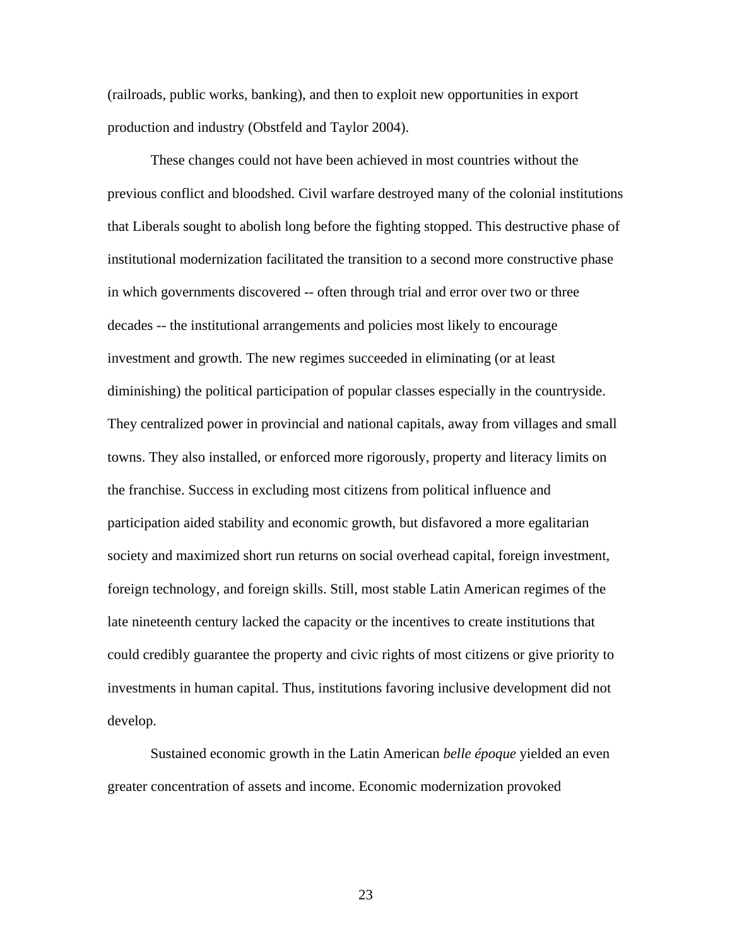(railroads, public works, banking), and then to exploit new opportunities in export production and industry (Obstfeld and Taylor 2004).

These changes could not have been achieved in most countries without the previous conflict and bloodshed. Civil warfare destroyed many of the colonial institutions that Liberals sought to abolish long before the fighting stopped. This destructive phase of institutional modernization facilitated the transition to a second more constructive phase in which governments discovered -- often through trial and error over two or three decades -- the institutional arrangements and policies most likely to encourage investment and growth. The new regimes succeeded in eliminating (or at least diminishing) the political participation of popular classes especially in the countryside. They centralized power in provincial and national capitals, away from villages and small towns. They also installed, or enforced more rigorously, property and literacy limits on the franchise. Success in excluding most citizens from political influence and participation aided stability and economic growth, but disfavored a more egalitarian society and maximized short run returns on social overhead capital, foreign investment, foreign technology, and foreign skills. Still, most stable Latin American regimes of the late nineteenth century lacked the capacity or the incentives to create institutions that could credibly guarantee the property and civic rights of most citizens or give priority to investments in human capital. Thus, institutions favoring inclusive development did not develop.

Sustained economic growth in the Latin American *belle époque* yielded an even greater concentration of assets and income. Economic modernization provoked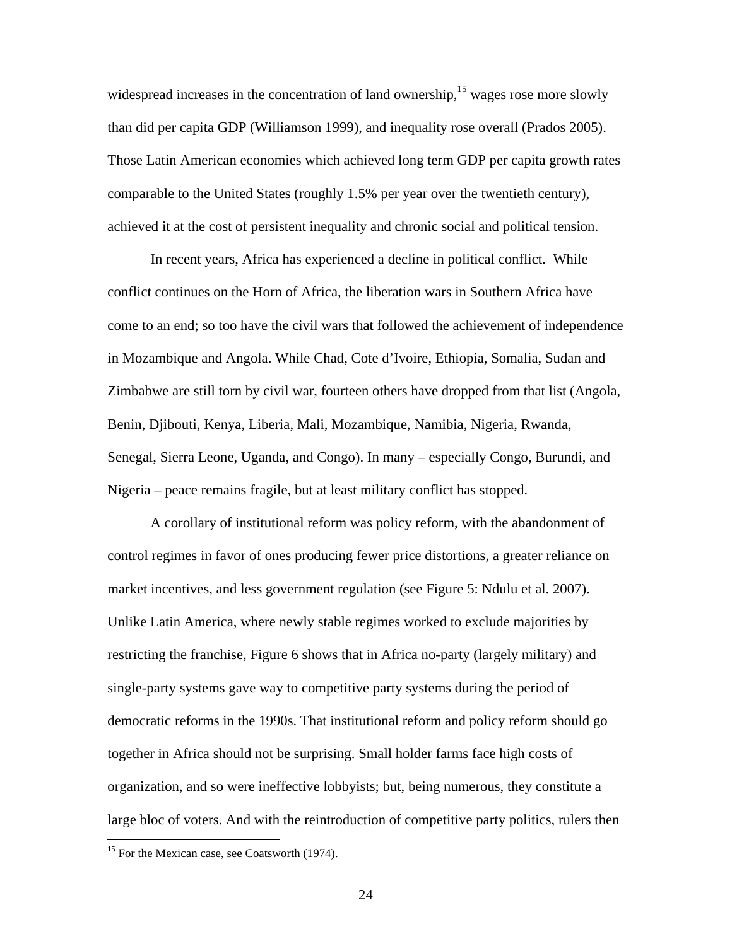widespread increases in the concentration of land ownership, $15$  wages rose more slowly than did per capita GDP (Williamson 1999), and inequality rose overall (Prados 2005). Those Latin American economies which achieved long term GDP per capita growth rates comparable to the United States (roughly 1.5% per year over the twentieth century), achieved it at the cost of persistent inequality and chronic social and political tension.

In recent years, Africa has experienced a decline in political conflict. While conflict continues on the Horn of Africa, the liberation wars in Southern Africa have come to an end; so too have the civil wars that followed the achievement of independence in Mozambique and Angola. While Chad, Cote d'Ivoire, Ethiopia, Somalia, Sudan and Zimbabwe are still torn by civil war, fourteen others have dropped from that list (Angola, Benin, Djibouti, Kenya, Liberia, Mali, Mozambique, Namibia, Nigeria, Rwanda, Senegal, Sierra Leone, Uganda, and Congo). In many – especially Congo, Burundi, and Nigeria – peace remains fragile, but at least military conflict has stopped.

A corollary of institutional reform was policy reform, with the abandonment of control regimes in favor of ones producing fewer price distortions, a greater reliance on market incentives, and less government regulation (see Figure 5: Ndulu et al. 2007). Unlike Latin America, where newly stable regimes worked to exclude majorities by restricting the franchise, Figure 6 shows that in Africa no-party (largely military) and single-party systems gave way to competitive party systems during the period of democratic reforms in the 1990s. That institutional reform and policy reform should go together in Africa should not be surprising. Small holder farms face high costs of organization, and so were ineffective lobbyists; but, being numerous, they constitute a large bloc of voters. And with the reintroduction of competitive party politics, rulers then

<sup>&</sup>lt;sup>15</sup> For the Mexican case, see Coatsworth (1974).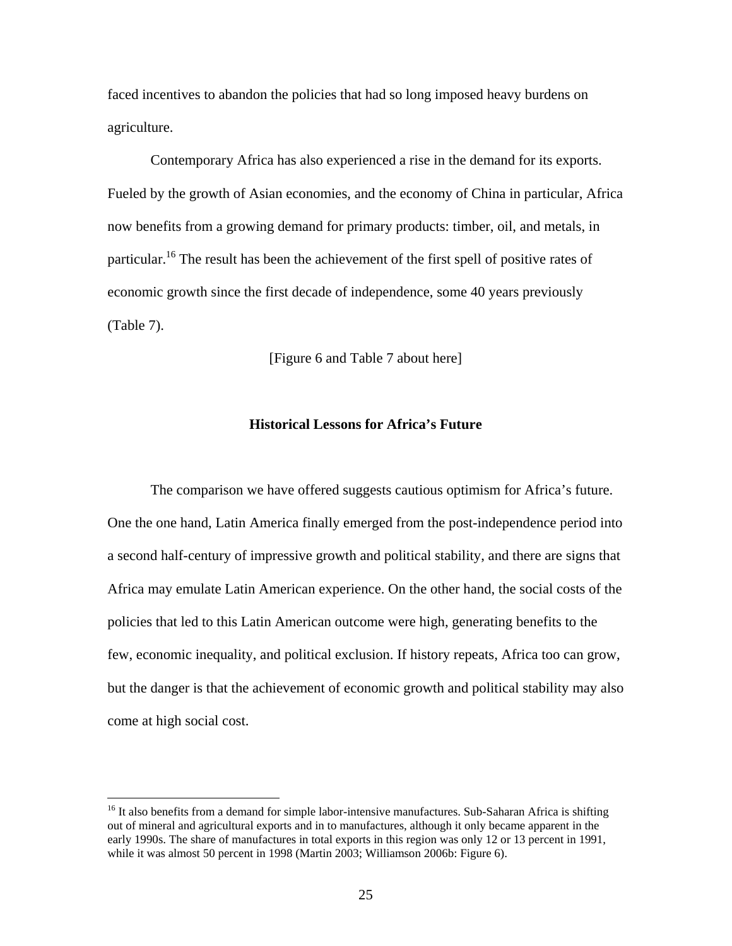faced incentives to abandon the policies that had so long imposed heavy burdens on agriculture.

Contemporary Africa has also experienced a rise in the demand for its exports. Fueled by the growth of Asian economies, and the economy of China in particular, Africa now benefits from a growing demand for primary products: timber, oil, and metals, in particular.<sup>16</sup> The result has been the achievement of the first spell of positive rates of economic growth since the first decade of independence, some 40 years previously (Table 7).

[Figure 6 and Table 7 about here]

## **Historical Lessons for Africa's Future**

The comparison we have offered suggests cautious optimism for Africa's future. One the one hand, Latin America finally emerged from the post-independence period into a second half-century of impressive growth and political stability, and there are signs that Africa may emulate Latin American experience. On the other hand, the social costs of the policies that led to this Latin American outcome were high, generating benefits to the few, economic inequality, and political exclusion. If history repeats, Africa too can grow, but the danger is that the achievement of economic growth and political stability may also come at high social cost.

<u>.</u>

<sup>&</sup>lt;sup>16</sup> It also benefits from a demand for simple labor-intensive manufactures. Sub-Saharan Africa is shifting out of mineral and agricultural exports and in to manufactures, although it only became apparent in the early 1990s. The share of manufactures in total exports in this region was only 12 or 13 percent in 1991, while it was almost 50 percent in 1998 (Martin 2003; Williamson 2006b: Figure 6).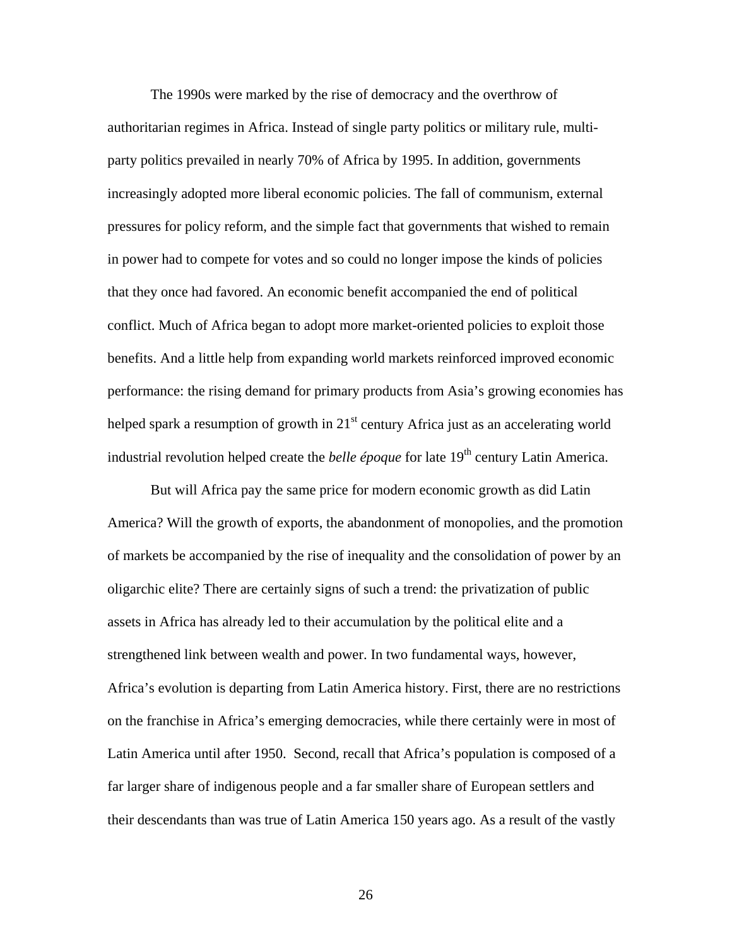The 1990s were marked by the rise of democracy and the overthrow of authoritarian regimes in Africa. Instead of single party politics or military rule, multiparty politics prevailed in nearly 70% of Africa by 1995. In addition, governments increasingly adopted more liberal economic policies. The fall of communism, external pressures for policy reform, and the simple fact that governments that wished to remain in power had to compete for votes and so could no longer impose the kinds of policies that they once had favored. An economic benefit accompanied the end of political conflict. Much of Africa began to adopt more market-oriented policies to exploit those benefits. And a little help from expanding world markets reinforced improved economic performance: the rising demand for primary products from Asia's growing economies has helped spark a resumption of growth in  $21<sup>st</sup>$  century Africa just as an accelerating world industrial revolution helped create the *belle époque* for late  $19<sup>th</sup>$  century Latin America.

But will Africa pay the same price for modern economic growth as did Latin America? Will the growth of exports, the abandonment of monopolies, and the promotion of markets be accompanied by the rise of inequality and the consolidation of power by an oligarchic elite? There are certainly signs of such a trend: the privatization of public assets in Africa has already led to their accumulation by the political elite and a strengthened link between wealth and power. In two fundamental ways, however, Africa's evolution is departing from Latin America history. First, there are no restrictions on the franchise in Africa's emerging democracies, while there certainly were in most of Latin America until after 1950. Second, recall that Africa's population is composed of a far larger share of indigenous people and a far smaller share of European settlers and their descendants than was true of Latin America 150 years ago. As a result of the vastly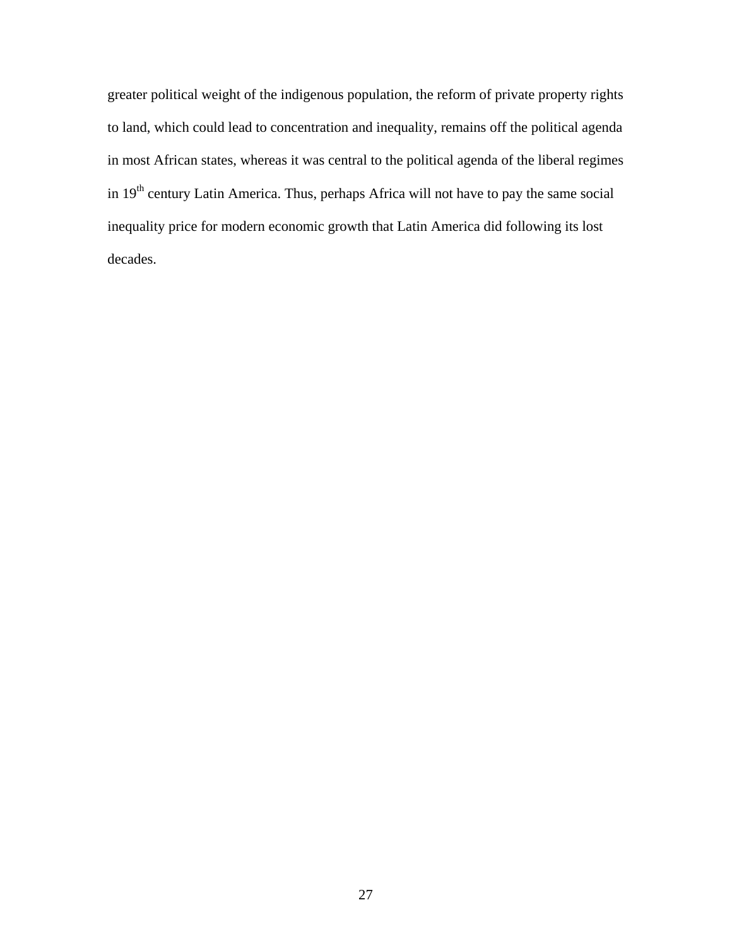greater political weight of the indigenous population, the reform of private property rights to land, which could lead to concentration and inequality, remains off the political agenda in most African states, whereas it was central to the political agenda of the liberal regimes in 19<sup>th</sup> century Latin America. Thus, perhaps Africa will not have to pay the same social inequality price for modern economic growth that Latin America did following its lost decades.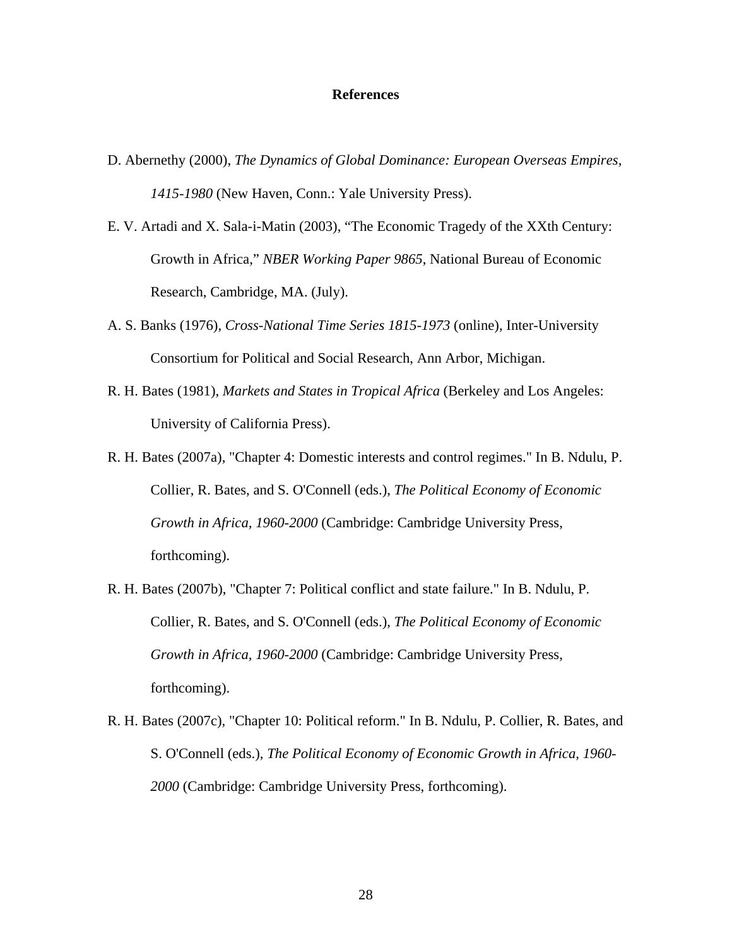### **References**

- D. Abernethy (2000), *The Dynamics of Global Dominance: European Overseas Empires, 1415-1980* (New Haven, Conn.: Yale University Press).
- E. V. Artadi and X. Sala-i-Matin (2003), "The Economic Tragedy of the XXth Century: Growth in Africa," *NBER Working Paper 9865*, National Bureau of Economic Research, Cambridge, MA. (July).
- A. S. Banks (1976), *Cross-National Time Series 1815-1973* (online), Inter-University Consortium for Political and Social Research, Ann Arbor, Michigan.
- R. H. Bates (1981), *Markets and States in Tropical Africa* (Berkeley and Los Angeles: University of California Press).
- R. H. Bates (2007a), "Chapter 4: Domestic interests and control regimes." In B. Ndulu, P. Collier, R. Bates, and S. O'Connell (eds.), *The Political Economy of Economic Growth in Africa, 1960-2000* (Cambridge: Cambridge University Press, forthcoming).
- R. H. Bates (2007b), "Chapter 7: Political conflict and state failure." In B. Ndulu, P. Collier, R. Bates, and S. O'Connell (eds.), *The Political Economy of Economic Growth in Africa, 1960-2000* (Cambridge: Cambridge University Press, forthcoming).
- R. H. Bates (2007c), "Chapter 10: Political reform." In B. Ndulu, P. Collier, R. Bates, and S. O'Connell (eds.), *The Political Economy of Economic Growth in Africa, 1960- 2000* (Cambridge: Cambridge University Press, forthcoming).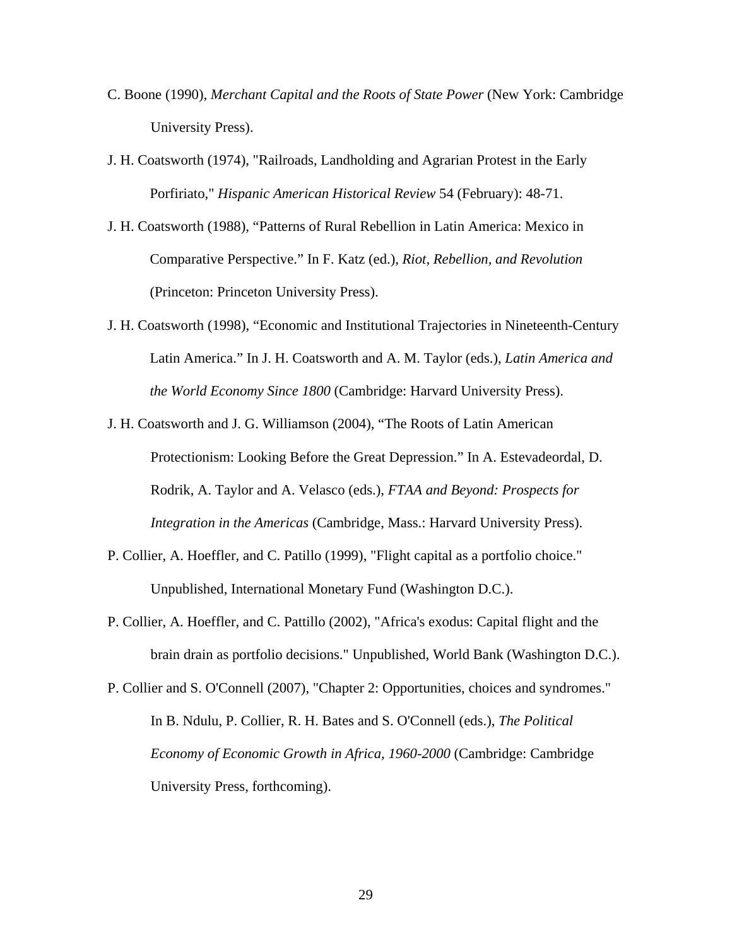- C. Boone (1990), *Merchant Capital and the Roots of State Power* (New York: Cambridge University Press).
- J. H. Coatsworth (1974), "Railroads, Landholding and Agrarian Protest in the Early Porfiriato," *Hispanic American Historical Review* 54 (February): 48-71.
- J. H. Coatsworth (1988), "Patterns of Rural Rebellion in Latin America: Mexico in Comparative Perspective." In F. Katz (ed.), *Riot, Rebellion, and Revolution* (Princeton: Princeton University Press).
- J. H. Coatsworth (1998), "Economic and Institutional Trajectories in Nineteenth-Century Latin America." In J. H. Coatsworth and A. M. Taylor (eds.), *Latin America and the World Economy Since 1800* (Cambridge: Harvard University Press).
- J. H. Coatsworth and J. G. Williamson (2004), "The Roots of Latin American Protectionism: Looking Before the Great Depression." In A. Estevadeordal, D. Rodrik, A. Taylor and A. Velasco (eds.), *FTAA and Beyond: Prospects for Integration in the Americas* (Cambridge, Mass.: Harvard University Press).
- P. Collier, A. Hoeffler, and C. Patillo (1999), "Flight capital as a portfolio choice." Unpublished, International Monetary Fund (Washington D.C.).
- P. Collier, A. Hoeffler, and C. Pattillo (2002), "Africa's exodus: Capital flight and the brain drain as portfolio decisions." Unpublished, World Bank (Washington D.C.).
- P. Collier and S. O'Connell (2007), "Chapter 2: Opportunities, choices and syndromes." In B. Ndulu, P. Collier, R. H. Bates and S. O'Connell (eds.), *The Political Economy of Economic Growth in Africa, 1960-2000* (Cambridge: Cambridge University Press, forthcoming).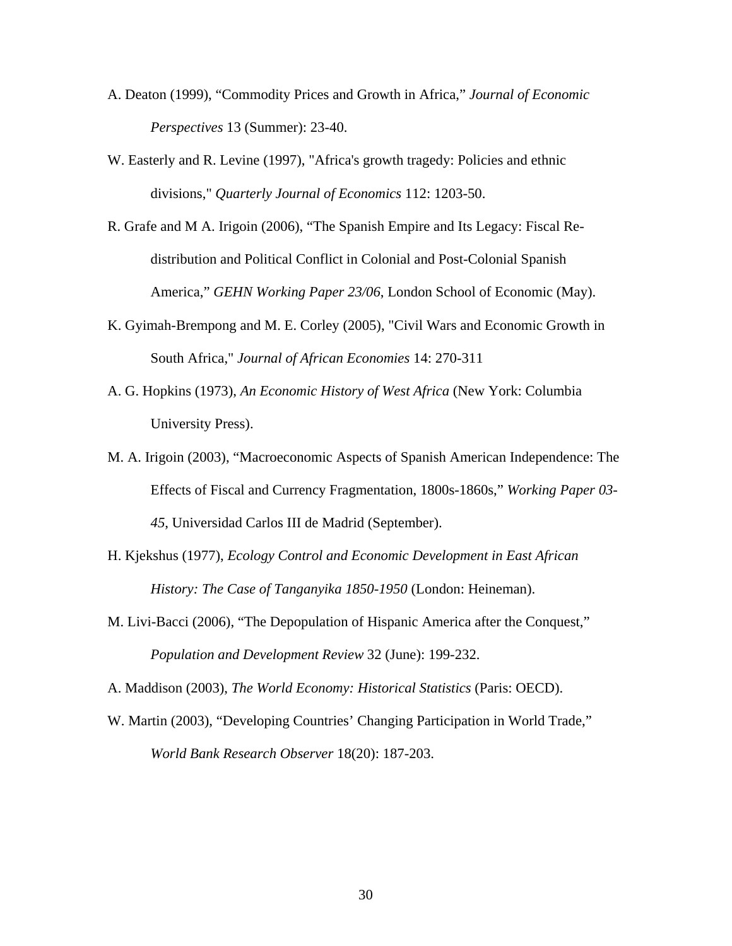- A. Deaton (1999), "Commodity Prices and Growth in Africa," *Journal of Economic Perspectives* 13 (Summer): 23-40.
- W. Easterly and R. Levine (1997), "Africa's growth tragedy: Policies and ethnic divisions," *Quarterly Journal of Economics* 112: 1203-50.
- R. Grafe and M A. Irigoin (2006), "The Spanish Empire and Its Legacy: Fiscal Redistribution and Political Conflict in Colonial and Post-Colonial Spanish America," *GEHN Working Paper 23/06*, London School of Economic (May).
- K. Gyimah-Brempong and M. E. Corley (2005), "Civil Wars and Economic Growth in South Africa," *Journal of African Economies* 14: 270-311
- A. G. Hopkins (1973), *An Economic History of West Africa* (New York: Columbia University Press).
- M. A. Irigoin (2003), "Macroeconomic Aspects of Spanish American Independence: The Effects of Fiscal and Currency Fragmentation, 1800s-1860s," *Working Paper 03- 45*, Universidad Carlos III de Madrid (September).
- H. Kjekshus (1977), *Ecology Control and Economic Development in East African History: The Case of Tanganyika 1850-1950* (London: Heineman).
- M. Livi-Bacci (2006), "The Depopulation of Hispanic America after the Conquest," *Population and Development Review* 32 (June): 199-232.

A. Maddison (2003), *The World Economy: Historical Statistics* (Paris: OECD).

W. Martin (2003), "Developing Countries' Changing Participation in World Trade," *World Bank Research Observer* 18(20): 187-203.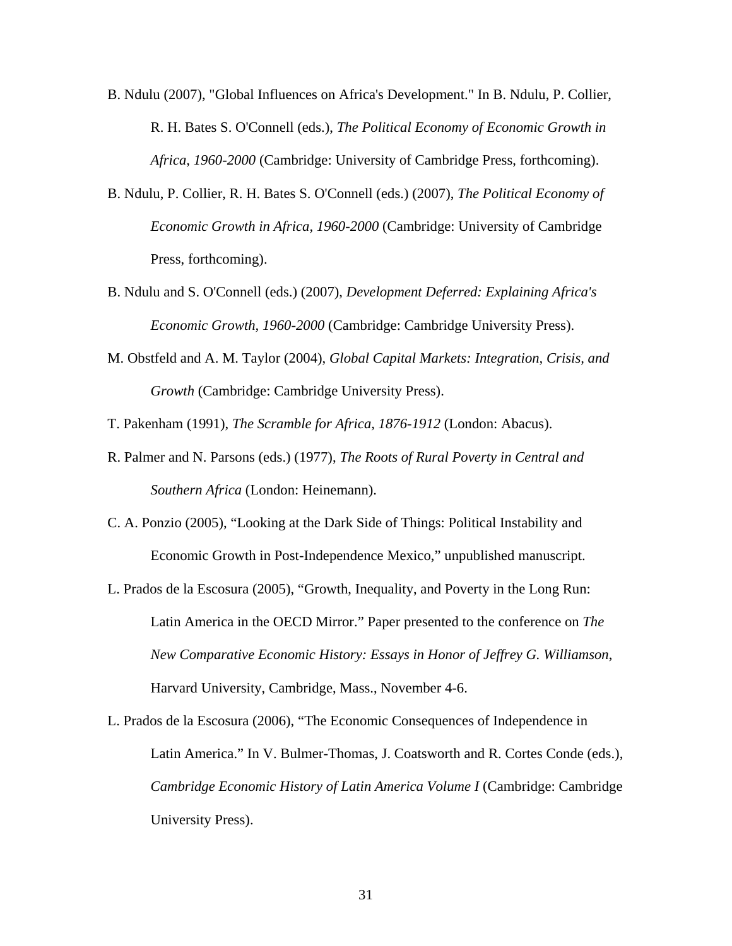- B. Ndulu (2007), "Global Influences on Africa's Development." In B. Ndulu, P. Collier, R. H. Bates S. O'Connell (eds.), *The Political Economy of Economic Growth in Africa, 1960-2000* (Cambridge: University of Cambridge Press, forthcoming).
- B. Ndulu, P. Collier, R. H. Bates S. O'Connell (eds.) (2007), *The Political Economy of Economic Growth in Africa, 1960-2000* (Cambridge: University of Cambridge Press, forthcoming).
- B. Ndulu and S. O'Connell (eds.) (2007), *Development Deferred: Explaining Africa's Economic Growth, 1960-2000* (Cambridge: Cambridge University Press).
- M. Obstfeld and A. M. Taylor (2004), *Global Capital Markets: Integration, Crisis, and Growth* (Cambridge: Cambridge University Press).

T. Pakenham (1991), *The Scramble for Africa, 1876-1912* (London: Abacus).

- R. Palmer and N. Parsons (eds.) (1977), *The Roots of Rural Poverty in Central and Southern Africa* (London: Heinemann).
- C. A. Ponzio (2005), "Looking at the Dark Side of Things: Political Instability and Economic Growth in Post-Independence Mexico," unpublished manuscript.
- L. Prados de la Escosura (2005), "Growth, Inequality, and Poverty in the Long Run: Latin America in the OECD Mirror." Paper presented to the conference on *The New Comparative Economic History: Essays in Honor of Jeffrey G. Williamson*, Harvard University, Cambridge, Mass., November 4-6.
- L. Prados de la Escosura (2006), "The Economic Consequences of Independence in Latin America." In V. Bulmer-Thomas, J. Coatsworth and R. Cortes Conde (eds.), *Cambridge Economic History of Latin America Volume I* (Cambridge: Cambridge University Press).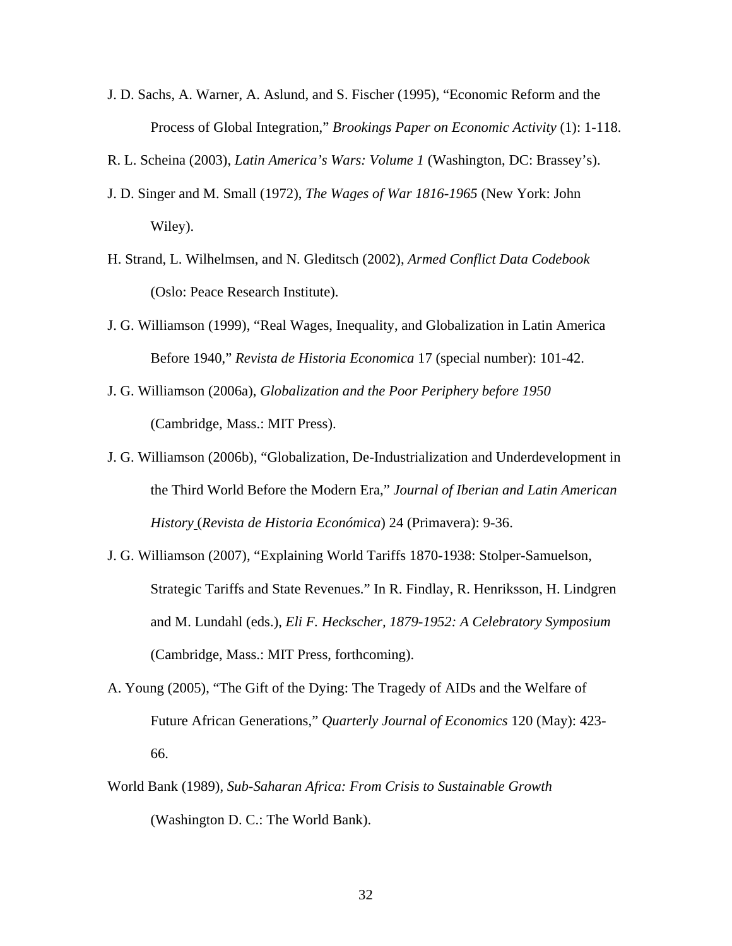- J. D. Sachs, A. Warner, A. Aslund, and S. Fischer (1995), "Economic Reform and the Process of Global Integration," *Brookings Paper on Economic Activity* (1): 1-118.
- R. L. Scheina (2003), *Latin America's Wars: Volume 1* (Washington, DC: Brassey's).
- J. D. Singer and M. Small (1972), *The Wages of War 1816-1965* (New York: John Wiley).
- H. Strand, L. Wilhelmsen, and N. Gleditsch (2002), *Armed Conflict Data Codebook* (Oslo: Peace Research Institute).
- J. G. Williamson (1999), "Real Wages, Inequality, and Globalization in Latin America Before 1940," *Revista de Historia Economica* 17 (special number): 101-42.
- J. G. Williamson (2006a), *Globalization and the Poor Periphery before 1950* (Cambridge, Mass.: MIT Press).
- J. G. Williamson (2006b), "Globalization, De-Industrialization and Underdevelopment in the Third World Before the Modern Era," *Journal of Iberian and Latin American History* (*Revista de Historia Económica*) 24 (Primavera): 9-36.
- J. G. Williamson (2007), "Explaining World Tariffs 1870-1938: Stolper-Samuelson, Strategic Tariffs and State Revenues." In R. Findlay, R. Henriksson, H. Lindgren and M. Lundahl (eds.), *Eli F. Heckscher, 1879-1952: A Celebratory Symposium* (Cambridge, Mass.: MIT Press, forthcoming).
- A. Young (2005), "The Gift of the Dying: The Tragedy of AIDs and the Welfare of Future African Generations," *Quarterly Journal of Economics* 120 (May): 423- 66.
- World Bank (1989), *Sub-Saharan Africa: From Crisis to Sustainable Growth* (Washington D. C.: The World Bank).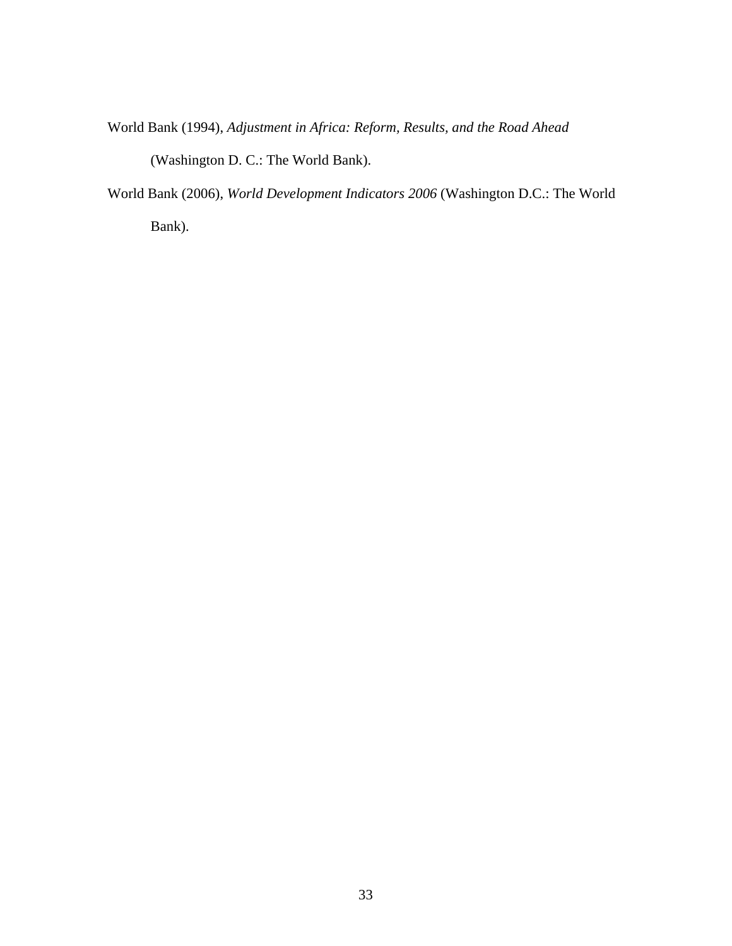World Bank (1994), *Adjustment in Africa: Reform, Results, and the Road Ahead*

(Washington D. C.: The World Bank).

World Bank (2006), *World Development Indicators 2006* (Washington D.C.: The World

Bank).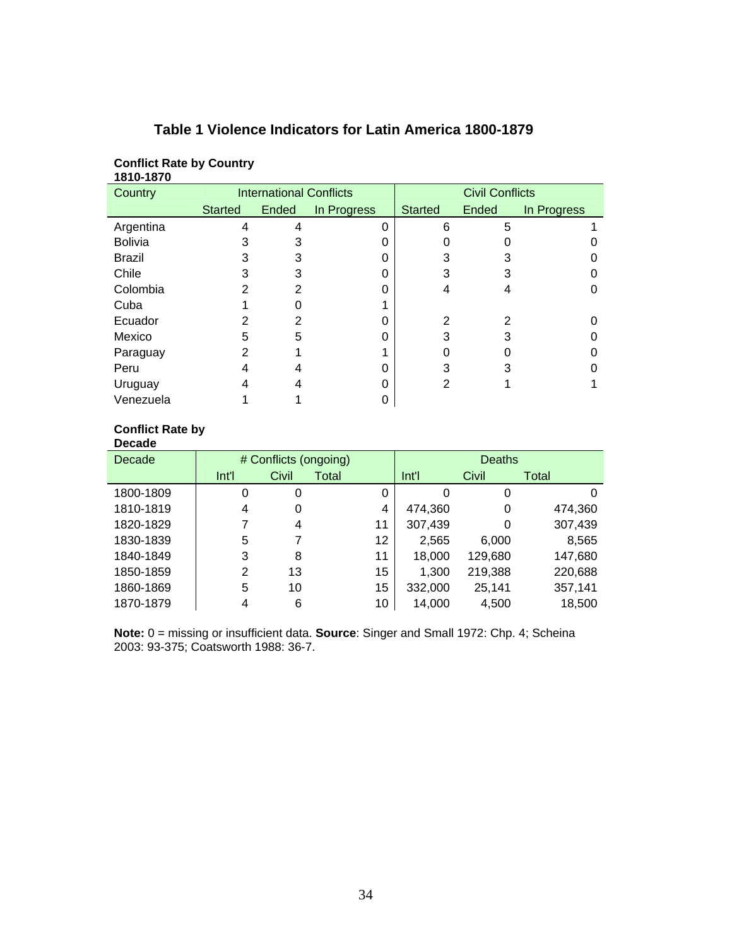| 1810-1870      |                                |       |             |                        |       |             |
|----------------|--------------------------------|-------|-------------|------------------------|-------|-------------|
| Country        | <b>International Conflicts</b> |       |             | <b>Civil Conflicts</b> |       |             |
|                | <b>Started</b>                 | Ended | In Progress | <b>Started</b>         | Ended | In Progress |
| Argentina      | 4                              | 4     | 0           | 6                      | 5     |             |
| <b>Bolivia</b> | 3                              | 3     | O           |                        |       |             |
| Brazil         | 3                              | 3     |             |                        | 3     |             |
| Chile          | 3                              | 3     | 0           | 3                      | 3     |             |
| Colombia       | 2                              | 2     |             | 4                      | 4     |             |
| Cuba           |                                |       |             |                        |       |             |
| Ecuador        | 2                              | 2     |             | 2                      | 2     |             |
| Mexico         | 5                              | 5     | ი           | 3                      | 3     |             |
| Paraguay       | $\overline{2}$                 |       |             |                        |       |             |
| Peru           | 4                              | 4     | ი           | 3                      | 3     |             |
| Uruguay        | 4                              | 4     |             | 2                      |       |             |
| Venezuela      |                                |       |             |                        |       |             |

# **Table 1 Violence Indicators for Latin America 1800-1879**

#### **Conflict Rate by**

**Conflict Rate by Country** 

| <b>Decade</b> |                       |       |       |    |               |         |         |
|---------------|-----------------------|-------|-------|----|---------------|---------|---------|
| Decade        | # Conflicts (ongoing) |       |       |    | <b>Deaths</b> |         |         |
|               | Int'l                 | Civil | Total |    | Int'l         | Civil   | Total   |
| 1800-1809     | 0                     | 0     |       | 0  | 0             | 0       | O       |
| 1810-1819     | $\overline{4}$        | 0     |       | 4  | 474,360       | 0       | 474,360 |
| 1820-1829     | 7                     | 4     |       | 11 | 307,439       | 0       | 307,439 |
| 1830-1839     | 5                     | 7     |       | 12 | 2,565         | 6,000   | 8,565   |
| 1840-1849     | 3                     | 8     |       | 11 | 18,000        | 129,680 | 147,680 |
| 1850-1859     | $\overline{2}$        | 13    |       | 15 | 1,300         | 219,388 | 220,688 |
| 1860-1869     | 5                     | 10    |       | 15 | 332,000       | 25,141  | 357,141 |
| 1870-1879     | 4                     | 6     |       | 10 | 14,000        | 4,500   | 18,500  |

**Note:** 0 = missing or insufficient data. **Source**: Singer and Small 1972: Chp. 4; Scheina 2003: 93-375; Coatsworth 1988: 36-7.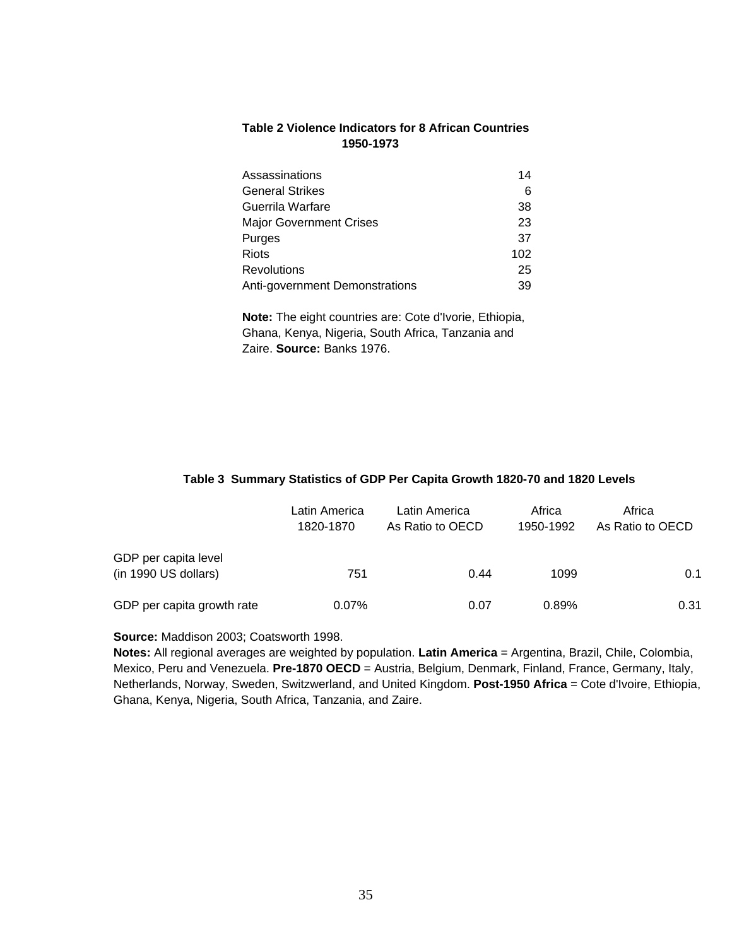## **Table 2 Violence Indicators for 8 African Countries 1950-1973**

| Assassinations                 | 14  |
|--------------------------------|-----|
| <b>General Strikes</b>         | 6   |
| Guerrila Warfare               | 38  |
| <b>Major Government Crises</b> | 23  |
| Purges                         | 37  |
| <b>Riots</b>                   | 102 |
| <b>Revolutions</b>             | 25  |
| Anti-government Demonstrations | 39  |

 **Note:** The eight countries are: Cote d'Ivorie, Ethiopia, Ghana, Kenya, Nigeria, South Africa, Tanzania and Zaire. **Source:** Banks 1976.

#### **Table 3 Summary Statistics of GDP Per Capita Growth 1820-70 and 1820 Levels**

|                                              | Latin America<br>1820-1870 | Latin America<br>As Ratio to OECD | Africa<br>1950-1992 | Africa<br>As Ratio to OECD |
|----------------------------------------------|----------------------------|-----------------------------------|---------------------|----------------------------|
| GDP per capita level<br>(in 1990 US dollars) | 751                        | 0.44                              | 1099                | 0.1                        |
| GDP per capita growth rate                   | 0.07%                      | 0.07                              | 0.89%               | 0.31                       |

#### **Source:** Maddison 2003; Coatsworth 1998.

**Notes:** All regional averages are weighted by population. **Latin America** = Argentina, Brazil, Chile, Colombia, Mexico, Peru and Venezuela. **Pre-1870 OECD** = Austria, Belgium, Denmark, Finland, France, Germany, Italy, Netherlands, Norway, Sweden, Switzwerland, and United Kingdom. **Post-1950 Africa** = Cote d'Ivoire, Ethiopia, Ghana, Kenya, Nigeria, South Africa, Tanzania, and Zaire.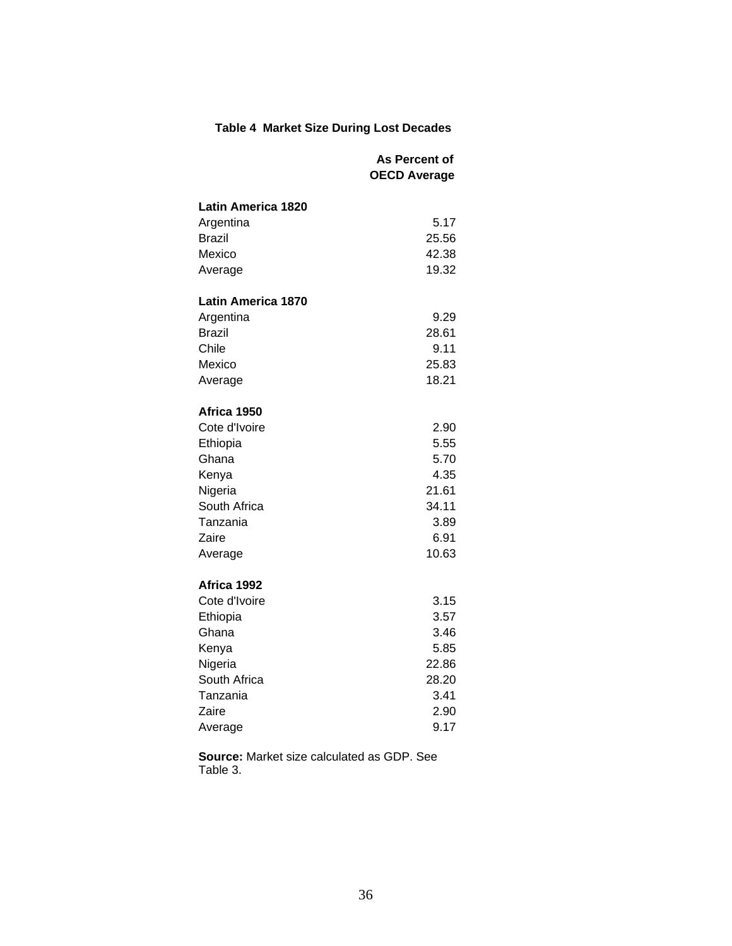# **Table 4 Market Size During Lost Decades**

|                           | As Percent of       |
|---------------------------|---------------------|
|                           | <b>OECD Average</b> |
| <b>Latin America 1820</b> |                     |
| Argentina                 | 5.17                |
| <b>Brazil</b>             | 25.56               |
| Mexico                    | 42.38               |
| Average                   | 19.32               |
| <b>Latin America 1870</b> |                     |
| Argentina                 | 9.29                |
| Brazil                    | 28.61               |
| Chile                     | 9.11                |
| Mexico                    | 25.83               |
| Average                   | 18.21               |
|                           |                     |
| Africa 1950               |                     |
| Cote d'Ivoire             | 2.90                |
| Ethiopia                  | 5.55                |
| Ghana                     | 5.70                |
| Kenya                     | 4.35                |
| Nigeria                   | 21.61               |
| South Africa              | 34.11               |
| Tanzania                  | 3.89                |
| Zaire                     | 6.91                |
| Average                   | 10.63               |
| Africa 1992               |                     |
| Cote d'Ivoire             | 3.15                |
| Ethiopia                  | 3.57                |
| Ghana                     | 3.46                |
| Kenya                     | 5.85                |
| Nigeria                   | 22.86               |
| South Africa              | 28.20               |
| Tanzania                  | 3.41                |
| Zaire                     | 2.90                |
| Average                   | 9.17                |

**Source:** Market size calculated as GDP. See Table 3.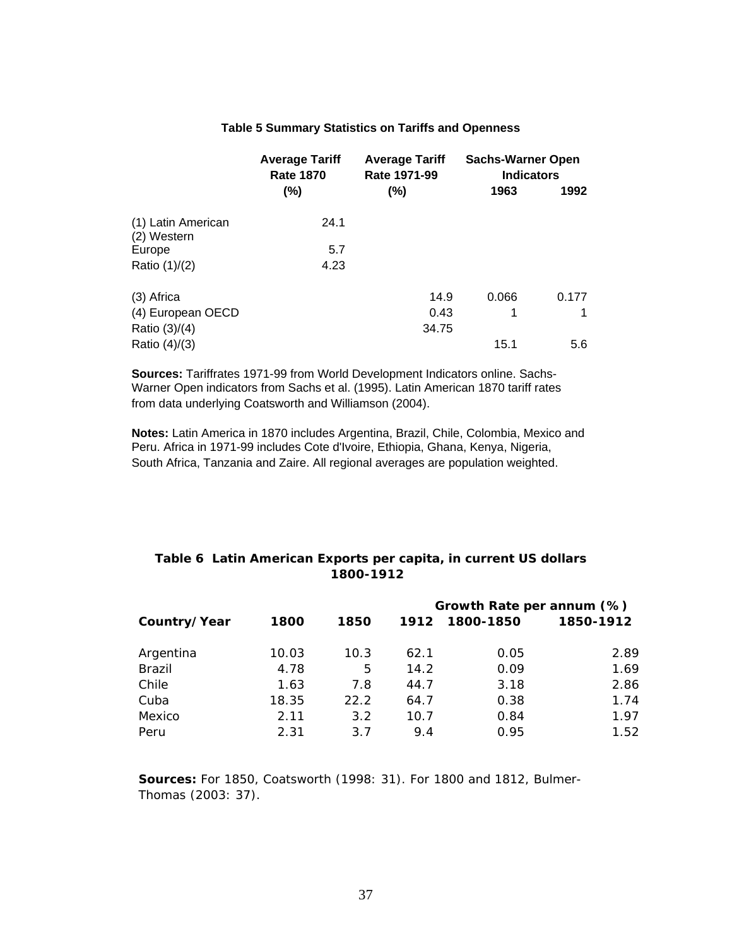|                                   | <b>Average Tariff</b><br><b>Rate 1870</b> | <b>Average Tariff</b><br>Rate 1971-99 | <b>Sachs-Warner Open</b><br><b>Indicators</b> |       |
|-----------------------------------|-------------------------------------------|---------------------------------------|-----------------------------------------------|-------|
|                                   | $(\%)$                                    | (%)                                   | 1963                                          | 1992  |
| (1) Latin American<br>(2) Western | 24.1                                      |                                       |                                               |       |
| Europe                            | 5.7                                       |                                       |                                               |       |
| Ratio $(1)/(2)$                   | 4.23                                      |                                       |                                               |       |
| (3) Africa                        |                                           | 14.9                                  | 0.066                                         | 0.177 |
| (4) European OECD                 |                                           | 0.43                                  | 1                                             | 1     |
| Ratio $(3)/(4)$                   |                                           | 34.75                                 |                                               |       |
| Ratio $(4)/(3)$                   |                                           |                                       | 15.1                                          | 5.6   |

## **Table 5 Summary Statistics on Tariffs and Openness**

**Sources:** Tariffrates 1971-99 from World Development Indicators online. Sachs-Warner Open indicators from Sachs et al. (1995). Latin American 1870 tariff rates from data underlying Coatsworth and Williamson (2004).

**Notes:** Latin America in 1870 includes Argentina, Brazil, Chile, Colombia, Mexico and Peru. Africa in 1971-99 includes Cote d'Ivoire, Ethiopia, Ghana, Kenya, Nigeria, South Africa, Tanzania and Zaire. All regional averages are population weighted.

## **Table 6 Latin American Exports per capita, in current US dollars 1800-1912**

|               |       |      | Growth Rate per annum (%) |           |           |  |  |
|---------------|-------|------|---------------------------|-----------|-----------|--|--|
| Country/Year  | 1800  | 1850 | 1912                      | 1800-1850 | 1850-1912 |  |  |
| Argentina     | 10.03 | 10.3 | 62.1                      | 0.05      | 2.89      |  |  |
| <b>Brazil</b> | 4.78  | 5    | 14.2                      | 0.09      | 1.69      |  |  |
| Chile         | 1.63  | 7.8  | 44.7                      | 3.18      | 2.86      |  |  |
| Cuba          | 18.35 | 22.2 | 64.7                      | 0.38      | 1.74      |  |  |
| Mexico        | 2.11  | 3.2  | 10.7                      | 0.84      | 1.97      |  |  |
| Peru          | 2.31  | 3.7  | 9.4                       | 0.95      | 1.52      |  |  |

**Sources:** For 1850, Coatsworth (1998: 31). For 1800 and 1812, Bulmer- Thomas (2003: 37).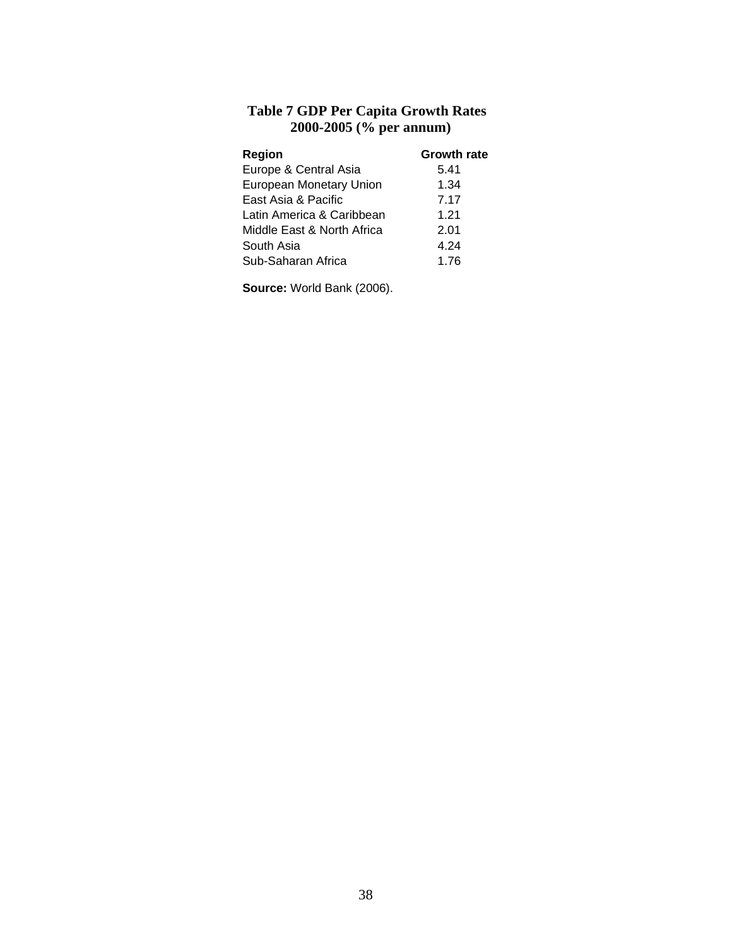# **Table 7 GDP Per Capita Growth Rates 2000-2005 (% per annum)**

| <b>Region</b>              | <b>Growth rate</b> |
|----------------------------|--------------------|
| Europe & Central Asia      | 5.41               |
| European Monetary Union    | 1.34               |
| East Asia & Pacific        | 7.17               |
| Latin America & Caribbean  | 1.21               |
| Middle East & North Africa | 2.01               |
| South Asia                 | 4.24               |
| Sub-Saharan Africa         | 1.76               |

**Source:** World Bank (2006).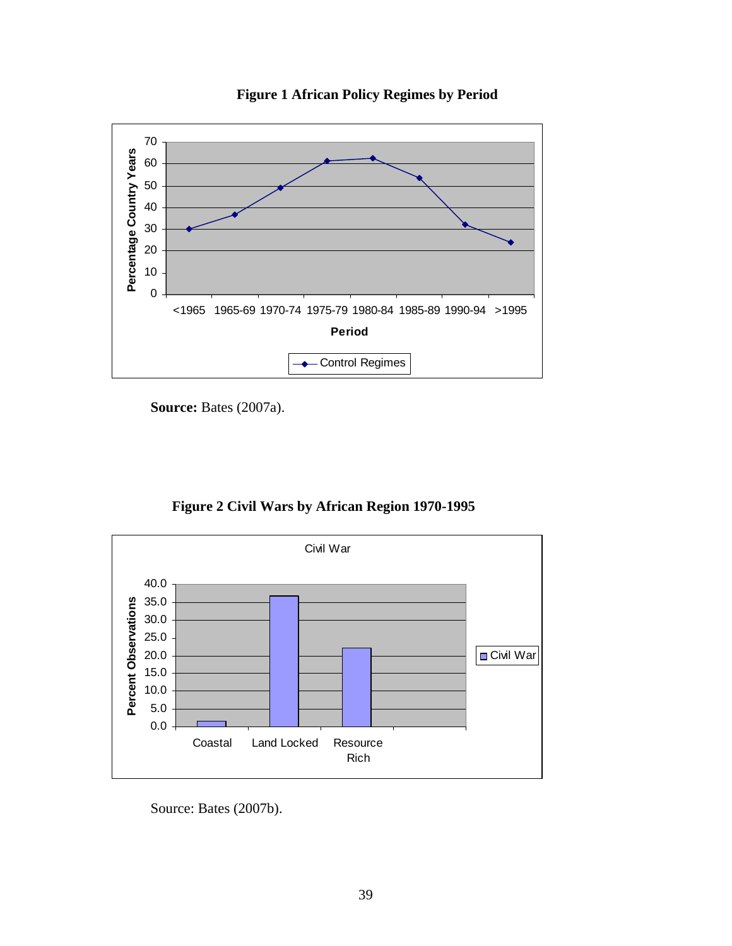

**Figure 1 African Policy Regimes by Period** 

**Source: Bates (2007a).** 





Source: Bates (2007b).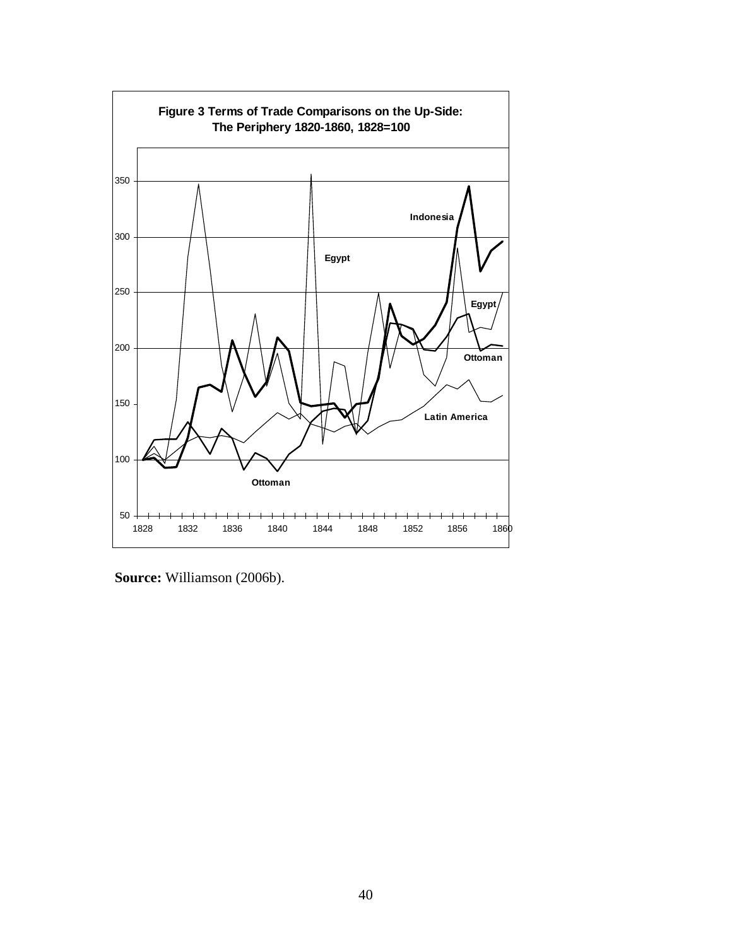

**Source:** Williamson (2006b).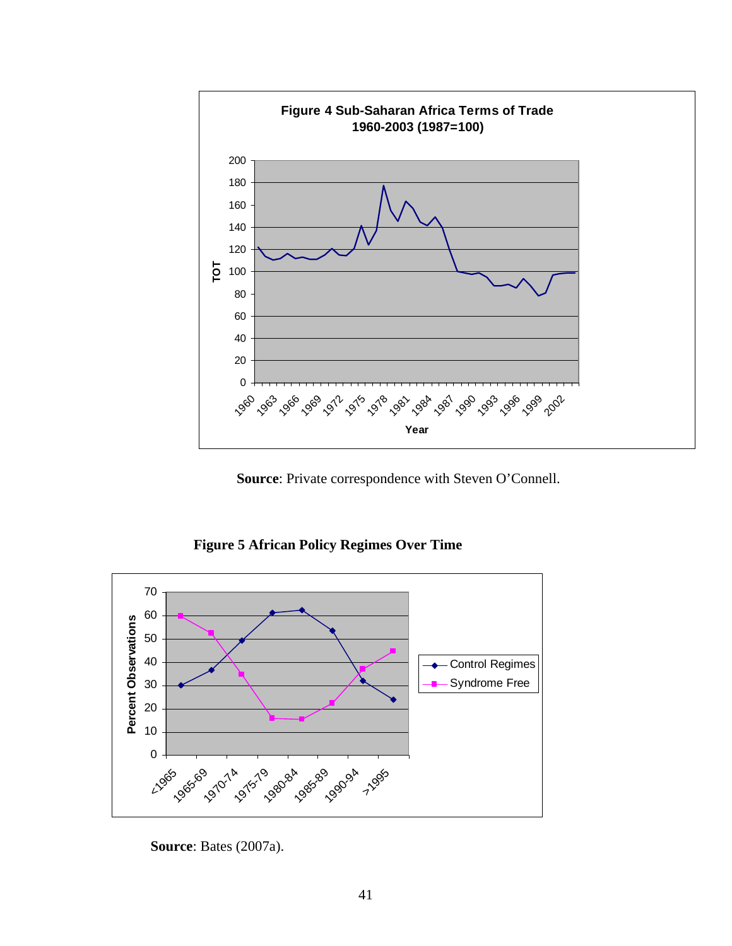

**Source**: Private correspondence with Steven O'Connell.

**Figure 5 African Policy Regimes Over Time** 



**Source**: Bates (2007a).